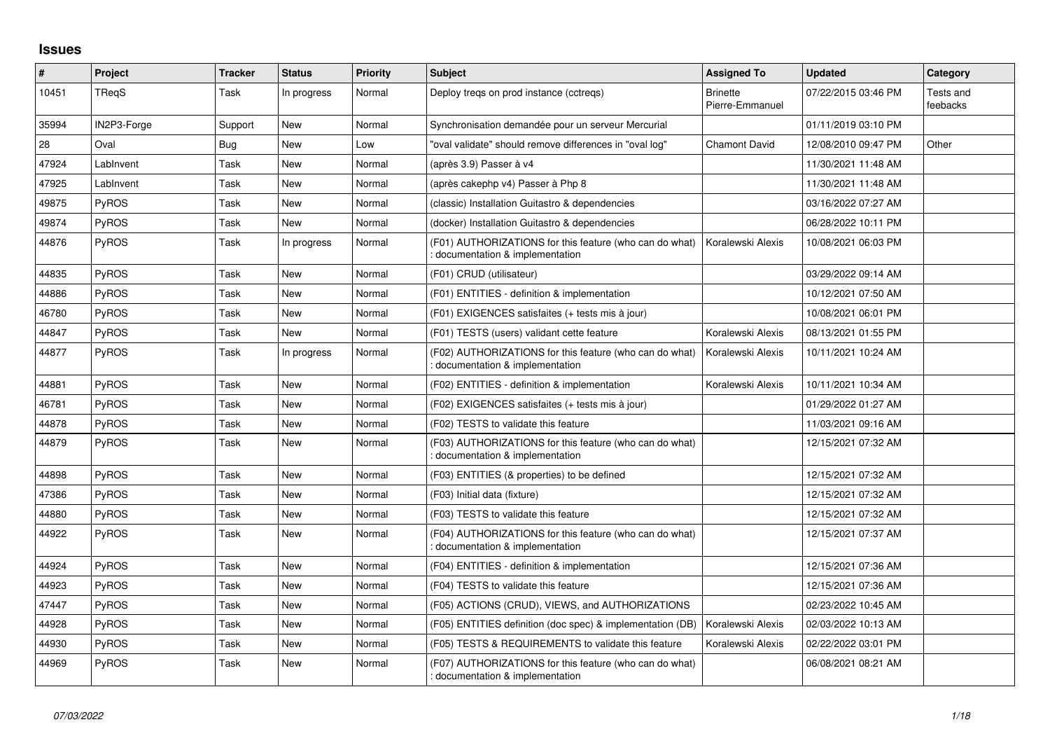## **Issues**

| #     | Project      | Tracker | <b>Status</b> | <b>Priority</b> | <b>Subject</b>                                                                              | <b>Assigned To</b>                 | <b>Updated</b>      | Category              |
|-------|--------------|---------|---------------|-----------------|---------------------------------------------------------------------------------------------|------------------------------------|---------------------|-----------------------|
| 10451 | TReaS        | Task    | In progress   | Normal          | Deploy tregs on prod instance (cctregs)                                                     | <b>Brinette</b><br>Pierre-Emmanuel | 07/22/2015 03:46 PM | Tests and<br>feebacks |
| 35994 | IN2P3-Forge  | Support | <b>New</b>    | Normal          | Synchronisation demandée pour un serveur Mercurial                                          |                                    | 01/11/2019 03:10 PM |                       |
| 28    | Oval         | Bug     | New           | Low             | "oval validate" should remove differences in "oval log"                                     | <b>Chamont David</b>               | 12/08/2010 09:47 PM | Other                 |
| 47924 | LabInvent    | Task    | <b>New</b>    | Normal          | (après 3.9) Passer à v4                                                                     |                                    | 11/30/2021 11:48 AM |                       |
| 47925 | LabInvent    | Task    | New           | Normal          | (après cakephp v4) Passer à Php 8                                                           |                                    | 11/30/2021 11:48 AM |                       |
| 49875 | PyROS        | Task    | <b>New</b>    | Normal          | (classic) Installation Guitastro & dependencies                                             |                                    | 03/16/2022 07:27 AM |                       |
| 49874 | <b>PyROS</b> | Task    | New           | Normal          | (docker) Installation Guitastro & dependencies                                              |                                    | 06/28/2022 10:11 PM |                       |
| 44876 | PyROS        | Task    | In progress   | Normal          | (F01) AUTHORIZATIONS for this feature (who can do what)<br>documentation & implementation   | Koralewski Alexis                  | 10/08/2021 06:03 PM |                       |
| 44835 | PyROS        | Task    | New           | Normal          | (F01) CRUD (utilisateur)                                                                    |                                    | 03/29/2022 09:14 AM |                       |
| 44886 | PyROS        | Task    | <b>New</b>    | Normal          | (F01) ENTITIES - definition & implementation                                                |                                    | 10/12/2021 07:50 AM |                       |
| 46780 | <b>PyROS</b> | Task    | <b>New</b>    | Normal          | (F01) EXIGENCES satisfaites (+ tests mis à jour)                                            |                                    | 10/08/2021 06:01 PM |                       |
| 44847 | PyROS        | Task    | New           | Normal          | (F01) TESTS (users) validant cette feature                                                  | Koralewski Alexis                  | 08/13/2021 01:55 PM |                       |
| 44877 | PyROS        | Task    | In progress   | Normal          | (F02) AUTHORIZATIONS for this feature (who can do what)<br>: documentation & implementation | Koralewski Alexis                  | 10/11/2021 10:24 AM |                       |
| 44881 | PyROS        | Task    | New           | Normal          | (F02) ENTITIES - definition & implementation                                                | Koralewski Alexis                  | 10/11/2021 10:34 AM |                       |
| 46781 | PyROS        | Task    | <b>New</b>    | Normal          | (F02) EXIGENCES satisfaites (+ tests mis à jour)                                            |                                    | 01/29/2022 01:27 AM |                       |
| 44878 | PyROS        | Task    | New           | Normal          | (F02) TESTS to validate this feature                                                        |                                    | 11/03/2021 09:16 AM |                       |
| 44879 | <b>PyROS</b> | Task    | New           | Normal          | (F03) AUTHORIZATIONS for this feature (who can do what)<br>: documentation & implementation |                                    | 12/15/2021 07:32 AM |                       |
| 44898 | PyROS        | Task    | <b>New</b>    | Normal          | (F03) ENTITIES (& properties) to be defined                                                 |                                    | 12/15/2021 07:32 AM |                       |
| 47386 | PyROS        | Task    | <b>New</b>    | Normal          | (F03) Initial data (fixture)                                                                |                                    | 12/15/2021 07:32 AM |                       |
| 44880 | PyROS        | Task    | New           | Normal          | (F03) TESTS to validate this feature                                                        |                                    | 12/15/2021 07:32 AM |                       |
| 44922 | PyROS        | Task    | New           | Normal          | (F04) AUTHORIZATIONS for this feature (who can do what)<br>: documentation & implementation |                                    | 12/15/2021 07:37 AM |                       |
| 44924 | PyROS        | Task    | <b>New</b>    | Normal          | (F04) ENTITIES - definition & implementation                                                |                                    | 12/15/2021 07:36 AM |                       |
| 44923 | PyROS        | Task    | <b>New</b>    | Normal          | (F04) TESTS to validate this feature                                                        |                                    | 12/15/2021 07:36 AM |                       |
| 47447 | <b>PyROS</b> | Task    | New           | Normal          | (F05) ACTIONS (CRUD), VIEWS, and AUTHORIZATIONS                                             |                                    | 02/23/2022 10:45 AM |                       |
| 44928 | PyROS        | Task    | <b>New</b>    | Normal          | (F05) ENTITIES definition (doc spec) & implementation (DB)                                  | Koralewski Alexis                  | 02/03/2022 10:13 AM |                       |
| 44930 | PyROS        | Task    | <b>New</b>    | Normal          | (F05) TESTS & REQUIREMENTS to validate this feature                                         | Koralewski Alexis                  | 02/22/2022 03:01 PM |                       |
| 44969 | PyROS        | Task    | <b>New</b>    | Normal          | (F07) AUTHORIZATIONS for this feature (who can do what)<br>: documentation & implementation |                                    | 06/08/2021 08:21 AM |                       |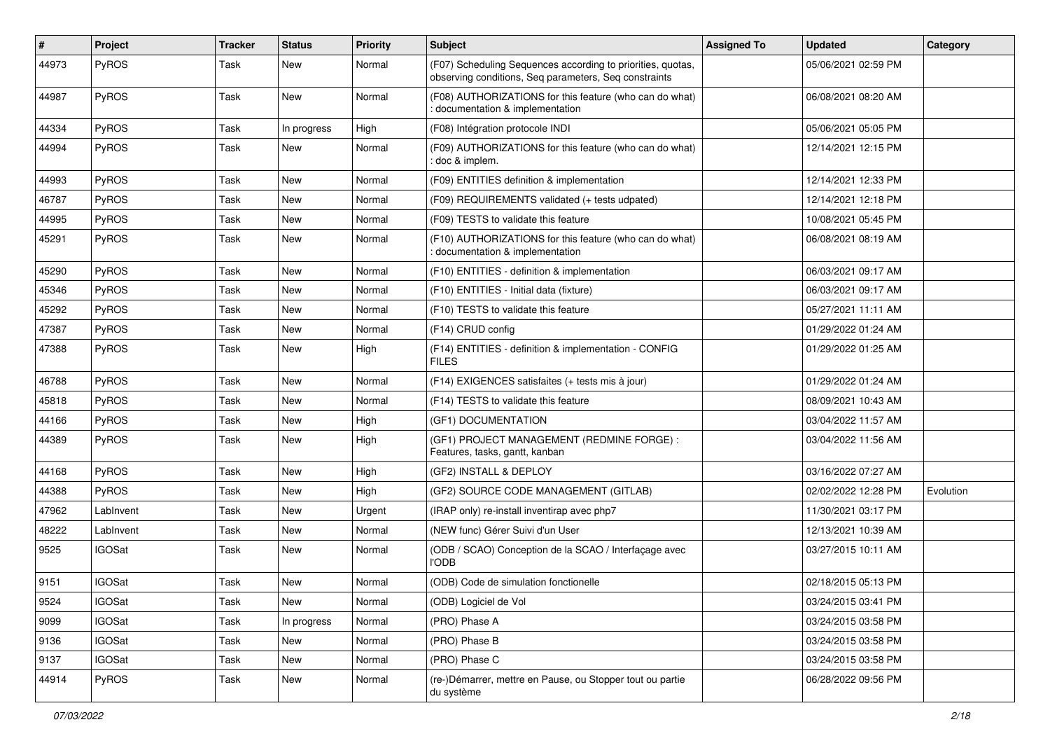| #     | Project       | <b>Tracker</b> | <b>Status</b> | <b>Priority</b> | <b>Subject</b>                                                                                                       | <b>Assigned To</b> | <b>Updated</b>      | Category  |
|-------|---------------|----------------|---------------|-----------------|----------------------------------------------------------------------------------------------------------------------|--------------------|---------------------|-----------|
| 44973 | PyROS         | Task           | New           | Normal          | (F07) Scheduling Sequences according to priorities, quotas,<br>observing conditions, Seq parameters, Seq constraints |                    | 05/06/2021 02:59 PM |           |
| 44987 | PyROS         | Task           | <b>New</b>    | Normal          | (F08) AUTHORIZATIONS for this feature (who can do what)<br>documentation & implementation                            |                    | 06/08/2021 08:20 AM |           |
| 44334 | PyROS         | Task           | In progress   | High            | (F08) Intégration protocole INDI                                                                                     |                    | 05/06/2021 05:05 PM |           |
| 44994 | PyROS         | Task           | New           | Normal          | (F09) AUTHORIZATIONS for this feature (who can do what)<br>doc & implem.                                             |                    | 12/14/2021 12:15 PM |           |
| 44993 | PyROS         | Task           | <b>New</b>    | Normal          | (F09) ENTITIES definition & implementation                                                                           |                    | 12/14/2021 12:33 PM |           |
| 46787 | PyROS         | Task           | <b>New</b>    | Normal          | (F09) REQUIREMENTS validated (+ tests udpated)                                                                       |                    | 12/14/2021 12:18 PM |           |
| 44995 | PyROS         | Task           | <b>New</b>    | Normal          | (F09) TESTS to validate this feature                                                                                 |                    | 10/08/2021 05:45 PM |           |
| 45291 | PyROS         | Task           | <b>New</b>    | Normal          | (F10) AUTHORIZATIONS for this feature (who can do what)<br>documentation & implementation                            |                    | 06/08/2021 08:19 AM |           |
| 45290 | PyROS         | Task           | <b>New</b>    | Normal          | (F10) ENTITIES - definition & implementation                                                                         |                    | 06/03/2021 09:17 AM |           |
| 45346 | <b>PyROS</b>  | Task           | <b>New</b>    | Normal          | (F10) ENTITIES - Initial data (fixture)                                                                              |                    | 06/03/2021 09:17 AM |           |
| 45292 | PyROS         | Task           | <b>New</b>    | Normal          | (F10) TESTS to validate this feature                                                                                 |                    | 05/27/2021 11:11 AM |           |
| 47387 | PyROS         | Task           | New           | Normal          | (F14) CRUD config                                                                                                    |                    | 01/29/2022 01:24 AM |           |
| 47388 | PyROS         | Task           | New           | High            | (F14) ENTITIES - definition & implementation - CONFIG<br><b>FILES</b>                                                |                    | 01/29/2022 01:25 AM |           |
| 46788 | <b>PyROS</b>  | Task           | <b>New</b>    | Normal          | (F14) EXIGENCES satisfaites (+ tests mis à jour)                                                                     |                    | 01/29/2022 01:24 AM |           |
| 45818 | PyROS         | Task           | New           | Normal          | (F14) TESTS to validate this feature                                                                                 |                    | 08/09/2021 10:43 AM |           |
| 44166 | <b>PyROS</b>  | Task           | <b>New</b>    | High            | (GF1) DOCUMENTATION                                                                                                  |                    | 03/04/2022 11:57 AM |           |
| 44389 | PyROS         | Task           | New           | High            | (GF1) PROJECT MANAGEMENT (REDMINE FORGE) :<br>Features, tasks, gantt, kanban                                         |                    | 03/04/2022 11:56 AM |           |
| 44168 | PyROS         | Task           | <b>New</b>    | High            | (GF2) INSTALL & DEPLOY                                                                                               |                    | 03/16/2022 07:27 AM |           |
| 44388 | PyROS         | Task           | New           | High            | (GF2) SOURCE CODE MANAGEMENT (GITLAB)                                                                                |                    | 02/02/2022 12:28 PM | Evolution |
| 47962 | LabInvent     | Task           | <b>New</b>    | Urgent          | (IRAP only) re-install inventirap avec php7                                                                          |                    | 11/30/2021 03:17 PM |           |
| 48222 | LabInvent     | Task           | <b>New</b>    | Normal          | (NEW func) Gérer Suivi d'un User                                                                                     |                    | 12/13/2021 10:39 AM |           |
| 9525  | <b>IGOSat</b> | Task           | New           | Normal          | (ODB / SCAO) Conception de la SCAO / Interfaçage avec<br><b>l'ODB</b>                                                |                    | 03/27/2015 10:11 AM |           |
| 9151  | <b>IGOSat</b> | Task           | New           | Normal          | (ODB) Code de simulation fonctionelle                                                                                |                    | 02/18/2015 05:13 PM |           |
| 9524  | <b>IGOSat</b> | Task           | New           | Normal          | (ODB) Logiciel de Vol                                                                                                |                    | 03/24/2015 03:41 PM |           |
| 9099  | <b>IGOSat</b> | Task           | In progress   | Normal          | (PRO) Phase A                                                                                                        |                    | 03/24/2015 03:58 PM |           |
| 9136  | <b>IGOSat</b> | Task           | New           | Normal          | (PRO) Phase B                                                                                                        |                    | 03/24/2015 03:58 PM |           |
| 9137  | <b>IGOSat</b> | Task           | New           | Normal          | (PRO) Phase C                                                                                                        |                    | 03/24/2015 03:58 PM |           |
| 44914 | PyROS         | Task           | New           | Normal          | (re-)Démarrer, mettre en Pause, ou Stopper tout ou partie<br>du système                                              |                    | 06/28/2022 09:56 PM |           |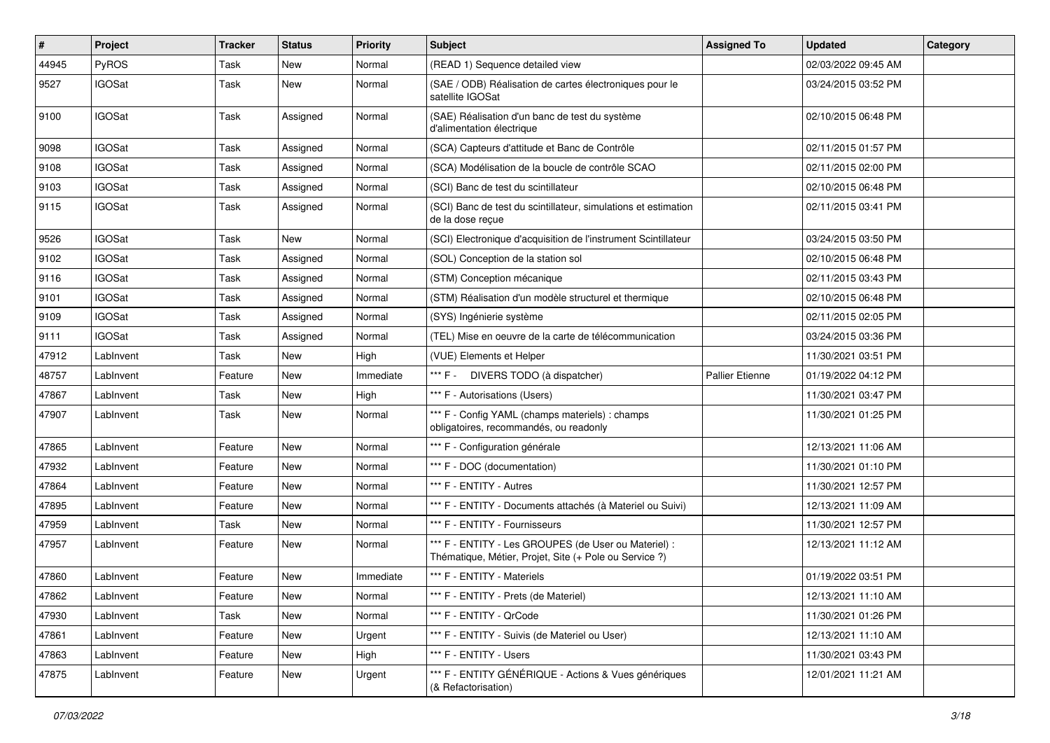| $\pmb{\#}$ | Project       | <b>Tracker</b> | <b>Status</b> | <b>Priority</b> | <b>Subject</b>                                                                                                 | <b>Assigned To</b>     | <b>Updated</b>      | Category |
|------------|---------------|----------------|---------------|-----------------|----------------------------------------------------------------------------------------------------------------|------------------------|---------------------|----------|
| 44945      | PyROS         | Task           | New           | Normal          | (READ 1) Sequence detailed view                                                                                |                        | 02/03/2022 09:45 AM |          |
| 9527       | <b>IGOSat</b> | Task           | <b>New</b>    | Normal          | (SAE / ODB) Réalisation de cartes électroniques pour le<br>satellite IGOSat                                    |                        | 03/24/2015 03:52 PM |          |
| 9100       | <b>IGOSat</b> | Task           | Assigned      | Normal          | (SAE) Réalisation d'un banc de test du système<br>d'alimentation électrique                                    |                        | 02/10/2015 06:48 PM |          |
| 9098       | <b>IGOSat</b> | Task           | Assigned      | Normal          | (SCA) Capteurs d'attitude et Banc de Contrôle                                                                  |                        | 02/11/2015 01:57 PM |          |
| 9108       | <b>IGOSat</b> | Task           | Assigned      | Normal          | (SCA) Modélisation de la boucle de contrôle SCAO                                                               |                        | 02/11/2015 02:00 PM |          |
| 9103       | <b>IGOSat</b> | Task           | Assigned      | Normal          | (SCI) Banc de test du scintillateur                                                                            |                        | 02/10/2015 06:48 PM |          |
| 9115       | <b>IGOSat</b> | Task           | Assigned      | Normal          | (SCI) Banc de test du scintillateur, simulations et estimation<br>de la dose reçue                             |                        | 02/11/2015 03:41 PM |          |
| 9526       | <b>IGOSat</b> | Task           | <b>New</b>    | Normal          | (SCI) Electronique d'acquisition de l'instrument Scintillateur                                                 |                        | 03/24/2015 03:50 PM |          |
| 9102       | <b>IGOSat</b> | Task           | Assigned      | Normal          | (SOL) Conception de la station sol                                                                             |                        | 02/10/2015 06:48 PM |          |
| 9116       | <b>IGOSat</b> | Task           | Assigned      | Normal          | (STM) Conception mécanique                                                                                     |                        | 02/11/2015 03:43 PM |          |
| 9101       | <b>IGOSat</b> | Task           | Assigned      | Normal          | (STM) Réalisation d'un modèle structurel et thermique                                                          |                        | 02/10/2015 06:48 PM |          |
| 9109       | <b>IGOSat</b> | Task           | Assigned      | Normal          | (SYS) Ingénierie système                                                                                       |                        | 02/11/2015 02:05 PM |          |
| 9111       | <b>IGOSat</b> | Task           | Assigned      | Normal          | (TEL) Mise en oeuvre de la carte de télécommunication                                                          |                        | 03/24/2015 03:36 PM |          |
| 47912      | LabInvent     | Task           | New           | High            | (VUE) Elements et Helper                                                                                       |                        | 11/30/2021 03:51 PM |          |
| 48757      | LabInvent     | Feature        | <b>New</b>    | Immediate       | *** F - DIVERS TODO (à dispatcher)                                                                             | <b>Pallier Etienne</b> | 01/19/2022 04:12 PM |          |
| 47867      | LabInvent     | Task           | New           | High            | *** F - Autorisations (Users)                                                                                  |                        | 11/30/2021 03:47 PM |          |
| 47907      | LabInvent     | Task           | New           | Normal          | *** F - Config YAML (champs materiels) : champs<br>obligatoires, recommandés, ou readonly                      |                        | 11/30/2021 01:25 PM |          |
| 47865      | LabInvent     | Feature        | New           | Normal          | *** F - Configuration générale                                                                                 |                        | 12/13/2021 11:06 AM |          |
| 47932      | LabInvent     | Feature        | <b>New</b>    | Normal          | *** F - DOC (documentation)                                                                                    |                        | 11/30/2021 01:10 PM |          |
| 47864      | LabInvent     | Feature        | New           | Normal          | *** F - ENTITY - Autres                                                                                        |                        | 11/30/2021 12:57 PM |          |
| 47895      | LabInvent     | Feature        | New           | Normal          | *** F - ENTITY - Documents attachés (à Materiel ou Suivi)                                                      |                        | 12/13/2021 11:09 AM |          |
| 47959      | LabInvent     | Task           | <b>New</b>    | Normal          | *** F - ENTITY - Fournisseurs                                                                                  |                        | 11/30/2021 12:57 PM |          |
| 47957      | LabInvent     | Feature        | New           | Normal          | *** F - ENTITY - Les GROUPES (de User ou Materiel) :<br>Thématique, Métier, Projet, Site (+ Pole ou Service ?) |                        | 12/13/2021 11:12 AM |          |
| 47860      | LabInvent     | Feature        | <b>New</b>    | Immediate       | *** F - ENTITY - Materiels                                                                                     |                        | 01/19/2022 03:51 PM |          |
| 47862      | LabInvent     | Feature        | New           | Normal          | *** F - ENTITY - Prets (de Materiel)                                                                           |                        | 12/13/2021 11:10 AM |          |
| 47930      | LabInvent     | Task           | New           | Normal          | *** F - ENTITY - QrCode                                                                                        |                        | 11/30/2021 01:26 PM |          |
| 47861      | LabInvent     | Feature        | New           | Urgent          | *** F - ENTITY - Suivis (de Materiel ou User)                                                                  |                        | 12/13/2021 11:10 AM |          |
| 47863      | LabInvent     | Feature        | New           | High            | *** F - ENTITY - Users                                                                                         |                        | 11/30/2021 03:43 PM |          |
| 47875      | LabInvent     | Feature        | New           | Urgent          | *** F - ENTITY GÉNÉRIQUE - Actions & Vues génériques<br>(& Refactorisation)                                    |                        | 12/01/2021 11:21 AM |          |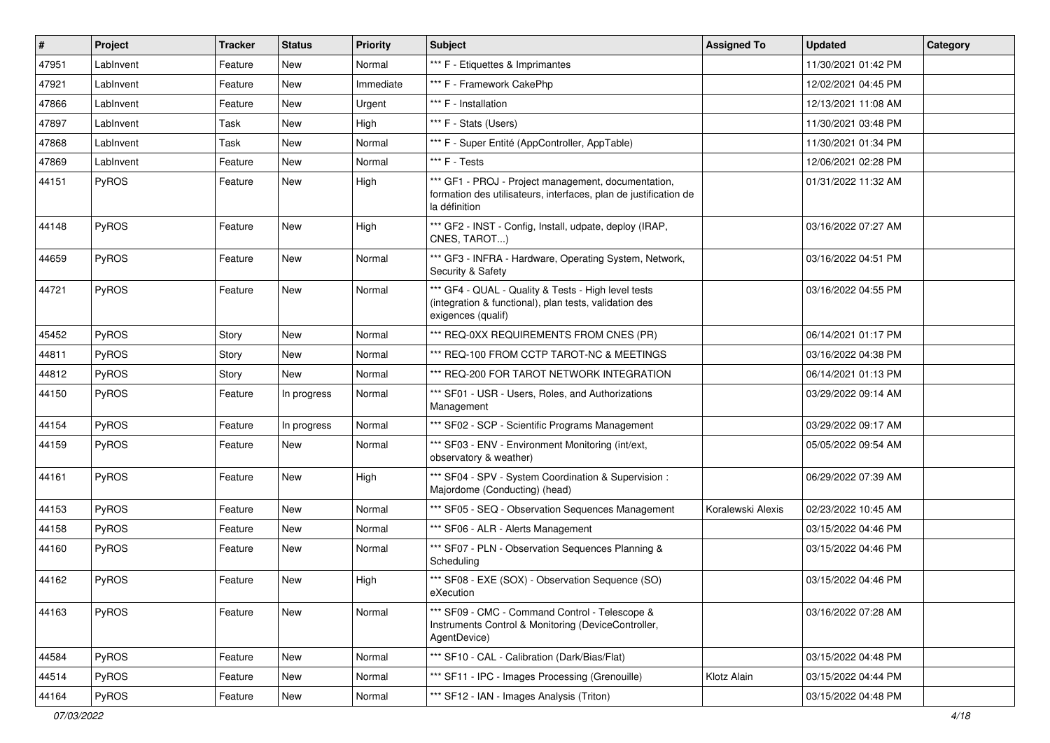| $\vert$ # | Project      | <b>Tracker</b> | <b>Status</b> | <b>Priority</b> | Subject                                                                                                                                  | <b>Assigned To</b> | <b>Updated</b>      | Category |
|-----------|--------------|----------------|---------------|-----------------|------------------------------------------------------------------------------------------------------------------------------------------|--------------------|---------------------|----------|
| 47951     | LabInvent    | Feature        | New           | Normal          | *** F - Etiquettes & Imprimantes                                                                                                         |                    | 11/30/2021 01:42 PM |          |
| 47921     | LabInvent    | Feature        | <b>New</b>    | Immediate       | *** F - Framework CakePhp                                                                                                                |                    | 12/02/2021 04:45 PM |          |
| 47866     | LabInvent    | Feature        | New           | Urgent          | *** F - Installation                                                                                                                     |                    | 12/13/2021 11:08 AM |          |
| 47897     | LabInvent    | Task           | New           | High            | *** F - Stats (Users)                                                                                                                    |                    | 11/30/2021 03:48 PM |          |
| 47868     | LabInvent    | Task           | <b>New</b>    | Normal          | *** F - Super Entité (AppController, AppTable)                                                                                           |                    | 11/30/2021 01:34 PM |          |
| 47869     | LabInvent    | Feature        | New           | Normal          | *** F - Tests                                                                                                                            |                    | 12/06/2021 02:28 PM |          |
| 44151     | PyROS        | Feature        | New           | High            | *** GF1 - PROJ - Project management, documentation,<br>formation des utilisateurs, interfaces, plan de justification de<br>la définition |                    | 01/31/2022 11:32 AM |          |
| 44148     | PyROS        | Feature        | New           | High            | *** GF2 - INST - Config, Install, udpate, deploy (IRAP,<br>CNES, TAROT)                                                                  |                    | 03/16/2022 07:27 AM |          |
| 44659     | PyROS        | Feature        | New           | Normal          | *** GF3 - INFRA - Hardware, Operating System, Network,<br>Security & Safety                                                              |                    | 03/16/2022 04:51 PM |          |
| 44721     | PyROS        | Feature        | New           | Normal          | *** GF4 - QUAL - Quality & Tests - High level tests<br>(integration & functional), plan tests, validation des<br>exigences (qualif)      |                    | 03/16/2022 04:55 PM |          |
| 45452     | <b>PyROS</b> | Story          | New           | Normal          | *** REQ-0XX REQUIREMENTS FROM CNES (PR)                                                                                                  |                    | 06/14/2021 01:17 PM |          |
| 44811     | PyROS        | Story          | <b>New</b>    | Normal          | *** REQ-100 FROM CCTP TAROT-NC & MEETINGS                                                                                                |                    | 03/16/2022 04:38 PM |          |
| 44812     | PyROS        | Story          | New           | Normal          | *** REQ-200 FOR TAROT NETWORK INTEGRATION                                                                                                |                    | 06/14/2021 01:13 PM |          |
| 44150     | PyROS        | Feature        | In progress   | Normal          | *** SF01 - USR - Users, Roles, and Authorizations<br>Management                                                                          |                    | 03/29/2022 09:14 AM |          |
| 44154     | PyROS        | Feature        | In progress   | Normal          | *** SF02 - SCP - Scientific Programs Management                                                                                          |                    | 03/29/2022 09:17 AM |          |
| 44159     | PyROS        | Feature        | New           | Normal          | *** SF03 - ENV - Environment Monitoring (int/ext,<br>observatory & weather)                                                              |                    | 05/05/2022 09:54 AM |          |
| 44161     | PyROS        | Feature        | New           | High            | *** SF04 - SPV - System Coordination & Supervision :<br>Majordome (Conducting) (head)                                                    |                    | 06/29/2022 07:39 AM |          |
| 44153     | PyROS        | Feature        | <b>New</b>    | Normal          | *** SF05 - SEQ - Observation Sequences Management                                                                                        | Koralewski Alexis  | 02/23/2022 10:45 AM |          |
| 44158     | PyROS        | Feature        | New           | Normal          | *** SF06 - ALR - Alerts Management                                                                                                       |                    | 03/15/2022 04:46 PM |          |
| 44160     | PyROS        | Feature        | New           | Normal          | *** SF07 - PLN - Observation Sequences Planning &<br>Scheduling                                                                          |                    | 03/15/2022 04:46 PM |          |
| 44162     | PyROS        | Feature        | New           | High            | *** SF08 - EXE (SOX) - Observation Sequence (SO)<br>eXecution                                                                            |                    | 03/15/2022 04:46 PM |          |
| 44163     | PyROS        | Feature        | New           | Normal          | *** SF09 - CMC - Command Control - Telescope &<br>Instruments Control & Monitoring (DeviceController,<br>AgentDevice)                    |                    | 03/16/2022 07:28 AM |          |
| 44584     | PyROS        | Feature        | New           | Normal          | *** SF10 - CAL - Calibration (Dark/Bias/Flat)                                                                                            |                    | 03/15/2022 04:48 PM |          |
| 44514     | PyROS        | Feature        | New           | Normal          | *** SF11 - IPC - Images Processing (Grenouille)                                                                                          | Klotz Alain        | 03/15/2022 04:44 PM |          |
| 44164     | PyROS        | Feature        | New           | Normal          | *** SF12 - IAN - Images Analysis (Triton)                                                                                                |                    | 03/15/2022 04:48 PM |          |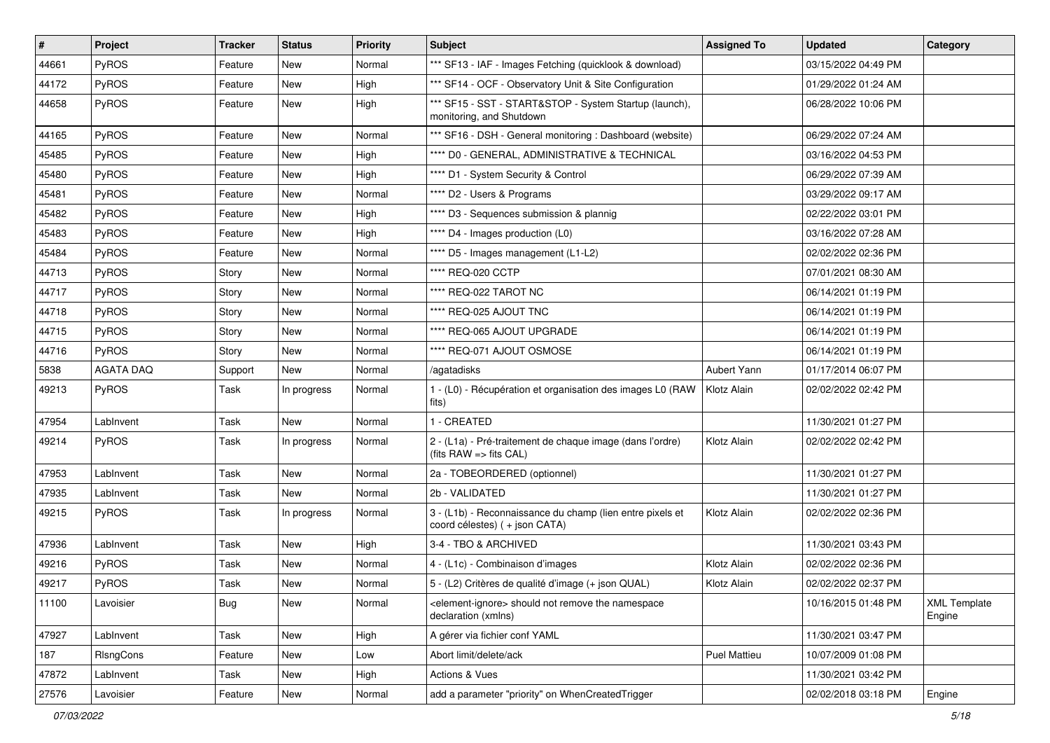| #     | Project          | <b>Tracker</b> | <b>Status</b> | <b>Priority</b> | <b>Subject</b>                                                                                    | <b>Assigned To</b> | <b>Updated</b>      | Category                      |
|-------|------------------|----------------|---------------|-----------------|---------------------------------------------------------------------------------------------------|--------------------|---------------------|-------------------------------|
| 44661 | PyROS            | Feature        | New           | Normal          | *** SF13 - IAF - Images Fetching (quicklook & download)                                           |                    | 03/15/2022 04:49 PM |                               |
| 44172 | PyROS            | Feature        | <b>New</b>    | High            | *** SF14 - OCF - Observatory Unit & Site Configuration                                            |                    | 01/29/2022 01:24 AM |                               |
| 44658 | <b>PyROS</b>     | Feature        | New           | High            | *** SF15 - SST - START&STOP - System Startup (launch),<br>monitoring, and Shutdown                |                    | 06/28/2022 10:06 PM |                               |
| 44165 | PyROS            | Feature        | <b>New</b>    | Normal          | *** SF16 - DSH - General monitoring : Dashboard (website)                                         |                    | 06/29/2022 07:24 AM |                               |
| 45485 | <b>PyROS</b>     | Feature        | New           | High            | **** D0 - GENERAL, ADMINISTRATIVE & TECHNICAL                                                     |                    | 03/16/2022 04:53 PM |                               |
| 45480 | PyROS            | Feature        | New           | High            | **** D1 - System Security & Control                                                               |                    | 06/29/2022 07:39 AM |                               |
| 45481 | <b>PyROS</b>     | Feature        | New           | Normal          | **** D2 - Users & Programs                                                                        |                    | 03/29/2022 09:17 AM |                               |
| 45482 | PyROS            | Feature        | New           | High            | **** D3 - Sequences submission & plannig                                                          |                    | 02/22/2022 03:01 PM |                               |
| 45483 | PyROS            | Feature        | <b>New</b>    | High            | **** D4 - Images production (L0)                                                                  |                    | 03/16/2022 07:28 AM |                               |
| 45484 | <b>PyROS</b>     | Feature        | New           | Normal          | **** D5 - Images management (L1-L2)                                                               |                    | 02/02/2022 02:36 PM |                               |
| 44713 | <b>PyROS</b>     | Story          | New           | Normal          | **** REQ-020 CCTP                                                                                 |                    | 07/01/2021 08:30 AM |                               |
| 44717 | PyROS            | Story          | New           | Normal          | **** REQ-022 TAROT NC                                                                             |                    | 06/14/2021 01:19 PM |                               |
| 44718 | PyROS            | Story          | New           | Normal          | **** REQ-025 AJOUT TNC                                                                            |                    | 06/14/2021 01:19 PM |                               |
| 44715 | PyROS            | Story          | <b>New</b>    | Normal          | **** REQ-065 AJOUT UPGRADE                                                                        |                    | 06/14/2021 01:19 PM |                               |
| 44716 | <b>PyROS</b>     | Story          | New           | Normal          | **** REQ-071 AJOUT OSMOSE                                                                         |                    | 06/14/2021 01:19 PM |                               |
| 5838  | <b>AGATA DAQ</b> | Support        | New           | Normal          | /agatadisks                                                                                       | Aubert Yann        | 01/17/2014 06:07 PM |                               |
| 49213 | PyROS            | Task           | In progress   | Normal          | 1 - (L0) - Récupération et organisation des images L0 (RAW<br>fits)                               | Klotz Alain        | 02/02/2022 02:42 PM |                               |
| 47954 | LabInvent        | Task           | New           | Normal          | 1 - CREATED                                                                                       |                    | 11/30/2021 01:27 PM |                               |
| 49214 | <b>PyROS</b>     | Task           | In progress   | Normal          | 2 - (L1a) - Pré-traitement de chaque image (dans l'ordre)<br>(fits $RAW \Rightarrow$ fits $CAL$ ) | Klotz Alain        | 02/02/2022 02:42 PM |                               |
| 47953 | LabInvent        | Task           | New           | Normal          | 2a - TOBEORDERED (optionnel)                                                                      |                    | 11/30/2021 01:27 PM |                               |
| 47935 | LabInvent        | Task           | New           | Normal          | 2b - VALIDATED                                                                                    |                    | 11/30/2021 01:27 PM |                               |
| 49215 | <b>PyROS</b>     | Task           | In progress   | Normal          | 3 - (L1b) - Reconnaissance du champ (lien entre pixels et<br>coord célestes) (+ json CATA)        | Klotz Alain        | 02/02/2022 02:36 PM |                               |
| 47936 | LabInvent        | Task           | New           | High            | 3-4 - TBO & ARCHIVED                                                                              |                    | 11/30/2021 03:43 PM |                               |
| 49216 | <b>PyROS</b>     | Task           | New           | Normal          | 4 - (L1c) - Combinaison d'images                                                                  | Klotz Alain        | 02/02/2022 02:36 PM |                               |
| 49217 | <b>PyROS</b>     | Task           | <b>New</b>    | Normal          | 5 - (L2) Critères de qualité d'image (+ json QUAL)                                                | Klotz Alain        | 02/02/2022 02:37 PM |                               |
| 11100 | Lavoisier        | <b>Bug</b>     | New           | Normal          | <element-ignore> should not remove the namespace<br/>declaration (xmlns)</element-ignore>         |                    | 10/16/2015 01:48 PM | <b>XML Template</b><br>Engine |
| 47927 | LabInvent        | Task           | New           | High            | A gérer via fichier conf YAML                                                                     |                    | 11/30/2021 03:47 PM |                               |
| 187   | RIsngCons        | Feature        | New           | Low             | Abort limit/delete/ack                                                                            | Puel Mattieu       | 10/07/2009 01:08 PM |                               |
| 47872 | LabInvent        | Task           | New           | High            | Actions & Vues                                                                                    |                    | 11/30/2021 03:42 PM |                               |
| 27576 | Lavoisier        | Feature        | New           | Normal          | add a parameter "priority" on WhenCreatedTrigger                                                  |                    | 02/02/2018 03:18 PM | Engine                        |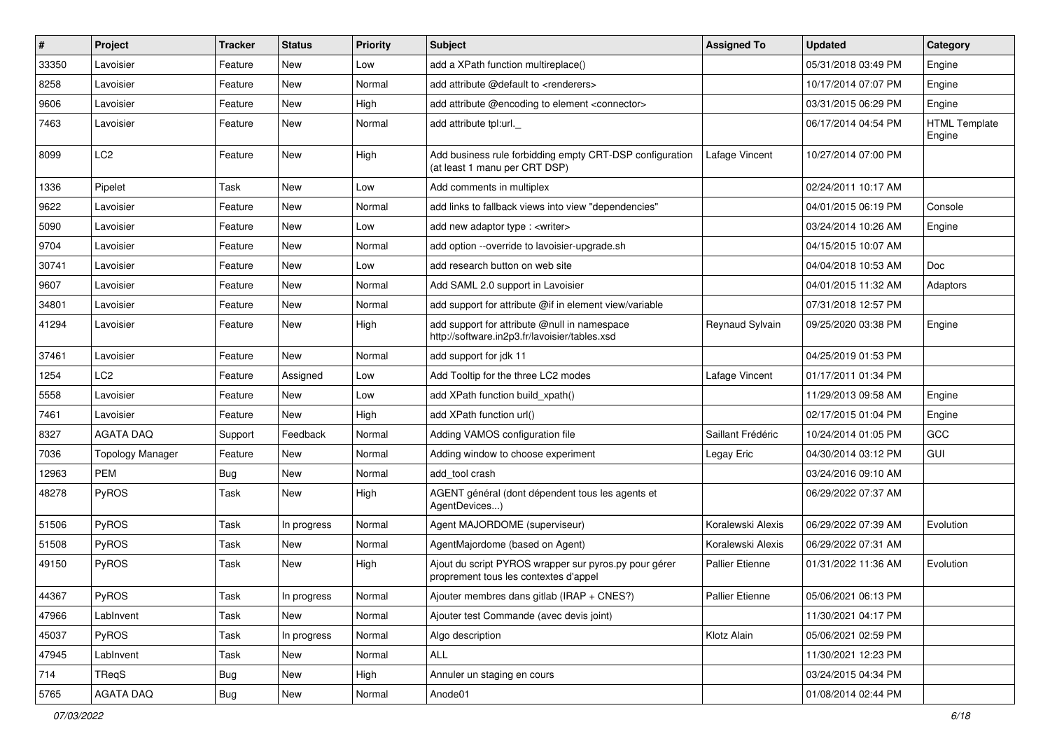| #     | Project                 | Tracker    | <b>Status</b> | <b>Priority</b> | <b>Subject</b>                                                                                 | <b>Assigned To</b>     | <b>Updated</b>      | Category                       |
|-------|-------------------------|------------|---------------|-----------------|------------------------------------------------------------------------------------------------|------------------------|---------------------|--------------------------------|
| 33350 | Lavoisier               | Feature    | New           | Low             | add a XPath function multireplace()                                                            |                        | 05/31/2018 03:49 PM | Engine                         |
| 8258  | Lavoisier               | Feature    | <b>New</b>    | Normal          | add attribute @default to <renderers></renderers>                                              |                        | 10/17/2014 07:07 PM | Engine                         |
| 9606  | Lavoisier               | Feature    | New           | High            | add attribute @encoding to element <connector></connector>                                     |                        | 03/31/2015 06:29 PM | Engine                         |
| 7463  | Lavoisier               | Feature    | New           | Normal          | add attribute tpl:url.                                                                         |                        | 06/17/2014 04:54 PM | <b>HTML Template</b><br>Engine |
| 8099  | LC <sub>2</sub>         | Feature    | New           | High            | Add business rule forbidding empty CRT-DSP configuration<br>(at least 1 manu per CRT DSP)      | Lafage Vincent         | 10/27/2014 07:00 PM |                                |
| 1336  | Pipelet                 | Task       | New           | Low             | Add comments in multiplex                                                                      |                        | 02/24/2011 10:17 AM |                                |
| 9622  | Lavoisier               | Feature    | New           | Normal          | add links to fallback views into view "dependencies"                                           |                        | 04/01/2015 06:19 PM | Console                        |
| 5090  | Lavoisier               | Feature    | <b>New</b>    | Low             | add new adaptor type : <writer></writer>                                                       |                        | 03/24/2014 10:26 AM | Engine                         |
| 9704  | Lavoisier               | Feature    | New           | Normal          | add option --override to lavoisier-upgrade.sh                                                  |                        | 04/15/2015 10:07 AM |                                |
| 30741 | Lavoisier               | Feature    | New           | Low             | add research button on web site                                                                |                        | 04/04/2018 10:53 AM | Doc                            |
| 9607  | Lavoisier               | Feature    | New           | Normal          | Add SAML 2.0 support in Lavoisier                                                              |                        | 04/01/2015 11:32 AM | Adaptors                       |
| 34801 | Lavoisier               | Feature    | New           | Normal          | add support for attribute @if in element view/variable                                         |                        | 07/31/2018 12:57 PM |                                |
| 41294 | Lavoisier               | Feature    | New           | High            | add support for attribute @null in namespace<br>http://software.in2p3.fr/lavoisier/tables.xsd  | Reynaud Sylvain        | 09/25/2020 03:38 PM | Engine                         |
| 37461 | Lavoisier               | Feature    | New           | Normal          | add support for jdk 11                                                                         |                        | 04/25/2019 01:53 PM |                                |
| 1254  | LC <sub>2</sub>         | Feature    | Assigned      | Low             | Add Tooltip for the three LC2 modes                                                            | Lafage Vincent         | 01/17/2011 01:34 PM |                                |
| 5558  | Lavoisier               | Feature    | New           | Low             | add XPath function build xpath()                                                               |                        | 11/29/2013 09:58 AM | Engine                         |
| 7461  | Lavoisier               | Feature    | <b>New</b>    | High            | add XPath function url()                                                                       |                        | 02/17/2015 01:04 PM | Engine                         |
| 8327  | <b>AGATA DAQ</b>        | Support    | Feedback      | Normal          | Adding VAMOS configuration file                                                                | Saillant Frédéric      | 10/24/2014 01:05 PM | GCC                            |
| 7036  | <b>Topology Manager</b> | Feature    | New           | Normal          | Adding window to choose experiment                                                             | Legay Eric             | 04/30/2014 03:12 PM | GUI                            |
| 12963 | <b>PEM</b>              | Bug        | <b>New</b>    | Normal          | add tool crash                                                                                 |                        | 03/24/2016 09:10 AM |                                |
| 48278 | PyROS                   | Task       | New           | High            | AGENT général (dont dépendent tous les agents et<br>AgentDevices)                              |                        | 06/29/2022 07:37 AM |                                |
| 51506 | PyROS                   | Task       | In progress   | Normal          | Agent MAJORDOME (superviseur)                                                                  | Koralewski Alexis      | 06/29/2022 07:39 AM | Evolution                      |
| 51508 | PyROS                   | Task       | New           | Normal          | AgentMajordome (based on Agent)                                                                | Koralewski Alexis      | 06/29/2022 07:31 AM |                                |
| 49150 | PyROS                   | Task       | New           | High            | Ajout du script PYROS wrapper sur pyros.py pour gérer<br>proprement tous les contextes d'appel | <b>Pallier Etienne</b> | 01/31/2022 11:36 AM | Evolution                      |
| 44367 | PyROS                   | Task       | In progress   | Normal          | Ajouter membres dans gitlab (IRAP + CNES?)                                                     | Pallier Etienne        | 05/06/2021 06:13 PM |                                |
| 47966 | LabInvent               | Task       | New           | Normal          | Ajouter test Commande (avec devis joint)                                                       |                        | 11/30/2021 04:17 PM |                                |
| 45037 | PyROS                   | Task       | In progress   | Normal          | Algo description                                                                               | Klotz Alain            | 05/06/2021 02:59 PM |                                |
| 47945 | LabInvent               | Task       | New           | Normal          | ALL                                                                                            |                        | 11/30/2021 12:23 PM |                                |
| 714   | TReqS                   | <b>Bug</b> | New           | High            | Annuler un staging en cours                                                                    |                        | 03/24/2015 04:34 PM |                                |
| 5765  | AGATA DAQ               | Bug        | New           | Normal          | Anode01                                                                                        |                        | 01/08/2014 02:44 PM |                                |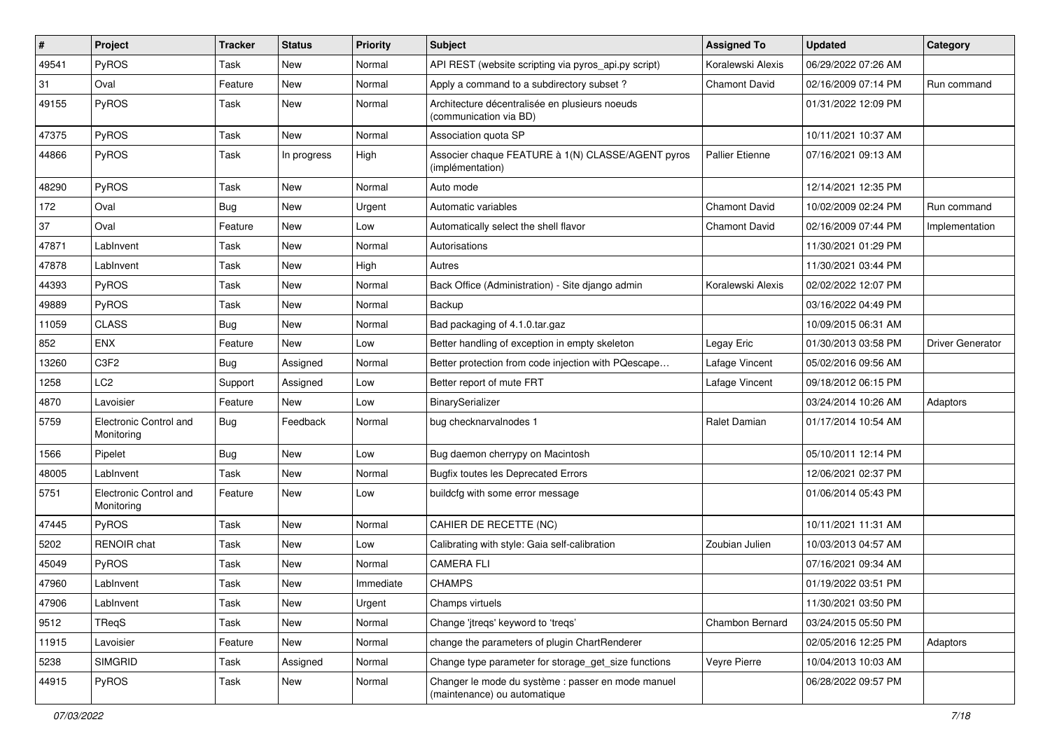| $\sharp$ | Project                              | <b>Tracker</b> | <b>Status</b> | <b>Priority</b> | <b>Subject</b>                                                                     | <b>Assigned To</b>     | <b>Updated</b>      | Category                |
|----------|--------------------------------------|----------------|---------------|-----------------|------------------------------------------------------------------------------------|------------------------|---------------------|-------------------------|
| 49541    | PyROS                                | Task           | New           | Normal          | API REST (website scripting via pyros_api.py script)                               | Koralewski Alexis      | 06/29/2022 07:26 AM |                         |
| 31       | Oval                                 | Feature        | <b>New</b>    | Normal          | Apply a command to a subdirectory subset?                                          | <b>Chamont David</b>   | 02/16/2009 07:14 PM | Run command             |
| 49155    | PyROS                                | Task           | New           | Normal          | Architecture décentralisée en plusieurs noeuds<br>(communication via BD)           |                        | 01/31/2022 12:09 PM |                         |
| 47375    | PyROS                                | Task           | <b>New</b>    | Normal          | Association quota SP                                                               |                        | 10/11/2021 10:37 AM |                         |
| 44866    | PyROS                                | Task           | In progress   | High            | Associer chaque FEATURE à 1(N) CLASSE/AGENT pyros<br>(implémentation)              | <b>Pallier Etienne</b> | 07/16/2021 09:13 AM |                         |
| 48290    | PyROS                                | Task           | <b>New</b>    | Normal          | Auto mode                                                                          |                        | 12/14/2021 12:35 PM |                         |
| 172      | Oval                                 | Bug            | <b>New</b>    | Urgent          | Automatic variables                                                                | <b>Chamont David</b>   | 10/02/2009 02:24 PM | Run command             |
| 37       | Oval                                 | Feature        | <b>New</b>    | Low             | Automatically select the shell flavor                                              | <b>Chamont David</b>   | 02/16/2009 07:44 PM | Implementation          |
| 47871    | LabInvent                            | Task           | <b>New</b>    | Normal          | Autorisations                                                                      |                        | 11/30/2021 01:29 PM |                         |
| 47878    | LabInvent                            | Task           | New           | High            | Autres                                                                             |                        | 11/30/2021 03:44 PM |                         |
| 44393    | PyROS                                | Task           | <b>New</b>    | Normal          | Back Office (Administration) - Site django admin                                   | Koralewski Alexis      | 02/02/2022 12:07 PM |                         |
| 49889    | PyROS                                | Task           | <b>New</b>    | Normal          | Backup                                                                             |                        | 03/16/2022 04:49 PM |                         |
| 11059    | <b>CLASS</b>                         | <b>Bug</b>     | <b>New</b>    | Normal          | Bad packaging of 4.1.0.tar.gaz                                                     |                        | 10/09/2015 06:31 AM |                         |
| 852      | <b>ENX</b>                           | Feature        | New           | Low             | Better handling of exception in empty skeleton                                     | Legay Eric             | 01/30/2013 03:58 PM | <b>Driver Generator</b> |
| 13260    | C3F2                                 | <b>Bug</b>     | Assigned      | Normal          | Better protection from code injection with PQescape                                | Lafage Vincent         | 05/02/2016 09:56 AM |                         |
| 1258     | LC <sub>2</sub>                      | Support        | Assigned      | Low             | Better report of mute FRT                                                          | Lafage Vincent         | 09/18/2012 06:15 PM |                         |
| 4870     | Lavoisier                            | Feature        | New           | Low             | BinarySerializer                                                                   |                        | 03/24/2014 10:26 AM | Adaptors                |
| 5759     | Electronic Control and<br>Monitoring | <b>Bug</b>     | Feedback      | Normal          | bug checknarvalnodes 1                                                             | Ralet Damian           | 01/17/2014 10:54 AM |                         |
| 1566     | Pipelet                              | <b>Bug</b>     | <b>New</b>    | Low             | Bug daemon cherrypy on Macintosh                                                   |                        | 05/10/2011 12:14 PM |                         |
| 48005    | LabInvent                            | Task           | <b>New</b>    | Normal          | <b>Bugfix toutes les Deprecated Errors</b>                                         |                        | 12/06/2021 02:37 PM |                         |
| 5751     | Electronic Control and<br>Monitoring | Feature        | New           | Low             | buildcfg with some error message                                                   |                        | 01/06/2014 05:43 PM |                         |
| 47445    | PyROS                                | Task           | <b>New</b>    | Normal          | CAHIER DE RECETTE (NC)                                                             |                        | 10/11/2021 11:31 AM |                         |
| 5202     | RENOIR chat                          | Task           | <b>New</b>    | Low             | Calibrating with style: Gaia self-calibration                                      | Zoubian Julien         | 10/03/2013 04:57 AM |                         |
| 45049    | PyROS                                | Task           | New           | Normal          | <b>CAMERA FLI</b>                                                                  |                        | 07/16/2021 09:34 AM |                         |
| 47960    | LabInvent                            | Task           | New           | Immediate       | <b>CHAMPS</b>                                                                      |                        | 01/19/2022 03:51 PM |                         |
| 47906    | LabInvent                            | Task           | New           | Urgent          | Champs virtuels                                                                    |                        | 11/30/2021 03:50 PM |                         |
| 9512     | <b>TReqS</b>                         | Task           | <b>New</b>    | Normal          | Change 'jtreqs' keyword to 'treqs'                                                 | Chambon Bernard        | 03/24/2015 05:50 PM |                         |
| 11915    | Lavoisier                            | Feature        | New           | Normal          | change the parameters of plugin ChartRenderer                                      |                        | 02/05/2016 12:25 PM | Adaptors                |
| 5238     | <b>SIMGRID</b>                       | Task           | Assigned      | Normal          | Change type parameter for storage_get_size functions                               | Veyre Pierre           | 10/04/2013 10:03 AM |                         |
| 44915    | PyROS                                | Task           | New           | Normal          | Changer le mode du système : passer en mode manuel<br>(maintenance) ou automatique |                        | 06/28/2022 09:57 PM |                         |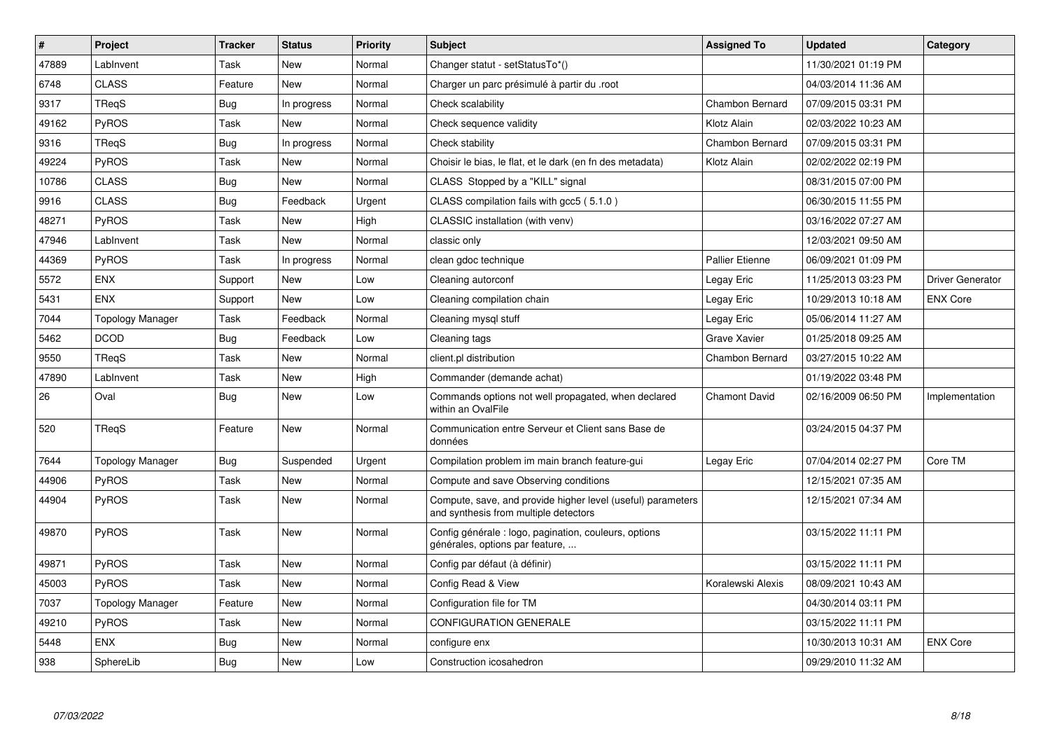| $\vert$ # | Project                 | <b>Tracker</b> | <b>Status</b> | <b>Priority</b> | <b>Subject</b>                                                                                       | <b>Assigned To</b>     | <b>Updated</b>      | Category         |
|-----------|-------------------------|----------------|---------------|-----------------|------------------------------------------------------------------------------------------------------|------------------------|---------------------|------------------|
| 47889     | LabInvent               | Task           | <b>New</b>    | Normal          | Changer statut - setStatusTo*()                                                                      |                        | 11/30/2021 01:19 PM |                  |
| 6748      | <b>CLASS</b>            | Feature        | <b>New</b>    | Normal          | Charger un parc présimulé à partir du .root                                                          |                        | 04/03/2014 11:36 AM |                  |
| 9317      | TReqS                   | Bug            | In progress   | Normal          | Check scalability                                                                                    | Chambon Bernard        | 07/09/2015 03:31 PM |                  |
| 49162     | <b>PyROS</b>            | Task           | New           | Normal          | Check sequence validity                                                                              | Klotz Alain            | 02/03/2022 10:23 AM |                  |
| 9316      | TReaS                   | Bug            | In progress   | Normal          | Check stability                                                                                      | <b>Chambon Bernard</b> | 07/09/2015 03:31 PM |                  |
| 49224     | PyROS                   | Task           | <b>New</b>    | Normal          | Choisir le bias, le flat, et le dark (en fn des metadata)                                            | Klotz Alain            | 02/02/2022 02:19 PM |                  |
| 10786     | <b>CLASS</b>            | <b>Bug</b>     | <b>New</b>    | Normal          | CLASS Stopped by a "KILL" signal                                                                     |                        | 08/31/2015 07:00 PM |                  |
| 9916      | <b>CLASS</b>            | <b>Bug</b>     | Feedback      | Urgent          | CLASS compilation fails with gcc5 (5.1.0)                                                            |                        | 06/30/2015 11:55 PM |                  |
| 48271     | PyROS                   | Task           | <b>New</b>    | High            | CLASSIC installation (with venv)                                                                     |                        | 03/16/2022 07:27 AM |                  |
| 47946     | LabInvent               | Task           | <b>New</b>    | Normal          | classic only                                                                                         |                        | 12/03/2021 09:50 AM |                  |
| 44369     | <b>PyROS</b>            | Task           | In progress   | Normal          | clean gdoc technique                                                                                 | <b>Pallier Etienne</b> | 06/09/2021 01:09 PM |                  |
| 5572      | <b>ENX</b>              | Support        | <b>New</b>    | Low             | Cleaning autorconf                                                                                   | Legay Eric             | 11/25/2013 03:23 PM | Driver Generator |
| 5431      | <b>ENX</b>              | Support        | New           | Low             | Cleaning compilation chain                                                                           | Legay Eric             | 10/29/2013 10:18 AM | <b>ENX Core</b>  |
| 7044      | <b>Topology Manager</b> | Task           | Feedback      | Normal          | Cleaning mysql stuff                                                                                 | Legay Eric             | 05/06/2014 11:27 AM |                  |
| 5462      | <b>DCOD</b>             | <b>Bug</b>     | Feedback      | Low             | Cleaning tags                                                                                        | Grave Xavier           | 01/25/2018 09:25 AM |                  |
| 9550      | TRegS                   | Task           | <b>New</b>    | Normal          | client.pl distribution                                                                               | Chambon Bernard        | 03/27/2015 10:22 AM |                  |
| 47890     | LabInvent               | Task           | <b>New</b>    | High            | Commander (demande achat)                                                                            |                        | 01/19/2022 03:48 PM |                  |
| 26        | Oval                    | <b>Bug</b>     | New           | Low             | Commands options not well propagated, when declared<br>within an OvalFile                            | <b>Chamont David</b>   | 02/16/2009 06:50 PM | Implementation   |
| 520       | <b>TRegS</b>            | Feature        | <b>New</b>    | Normal          | Communication entre Serveur et Client sans Base de<br>données                                        |                        | 03/24/2015 04:37 PM |                  |
| 7644      | <b>Topology Manager</b> | Bug            | Suspended     | Urgent          | Compilation problem im main branch feature-gui                                                       | Legay Eric             | 07/04/2014 02:27 PM | Core TM          |
| 44906     | <b>PyROS</b>            | Task           | <b>New</b>    | Normal          | Compute and save Observing conditions                                                                |                        | 12/15/2021 07:35 AM |                  |
| 44904     | <b>PyROS</b>            | Task           | <b>New</b>    | Normal          | Compute, save, and provide higher level (useful) parameters<br>and synthesis from multiple detectors |                        | 12/15/2021 07:34 AM |                  |
| 49870     | <b>PyROS</b>            | Task           | New           | Normal          | Config générale : logo, pagination, couleurs, options<br>générales, options par feature,             |                        | 03/15/2022 11:11 PM |                  |
| 49871     | <b>PyROS</b>            | Task           | <b>New</b>    | Normal          | Config par défaut (à définir)                                                                        |                        | 03/15/2022 11:11 PM |                  |
| 45003     | <b>PyROS</b>            | Task           | New           | Normal          | Config Read & View                                                                                   | Koralewski Alexis      | 08/09/2021 10:43 AM |                  |
| 7037      | Topology Manager        | Feature        | <b>New</b>    | Normal          | Configuration file for TM                                                                            |                        | 04/30/2014 03:11 PM |                  |
| 49210     | PyROS                   | Task           | <b>New</b>    | Normal          | <b>CONFIGURATION GENERALE</b>                                                                        |                        | 03/15/2022 11:11 PM |                  |
| 5448      | <b>ENX</b>              | Bug            | New           | Normal          | configure enx                                                                                        |                        | 10/30/2013 10:31 AM | <b>ENX Core</b>  |
| 938       | SphereLib               | <b>Bug</b>     | <b>New</b>    | Low             | Construction icosahedron                                                                             |                        | 09/29/2010 11:32 AM |                  |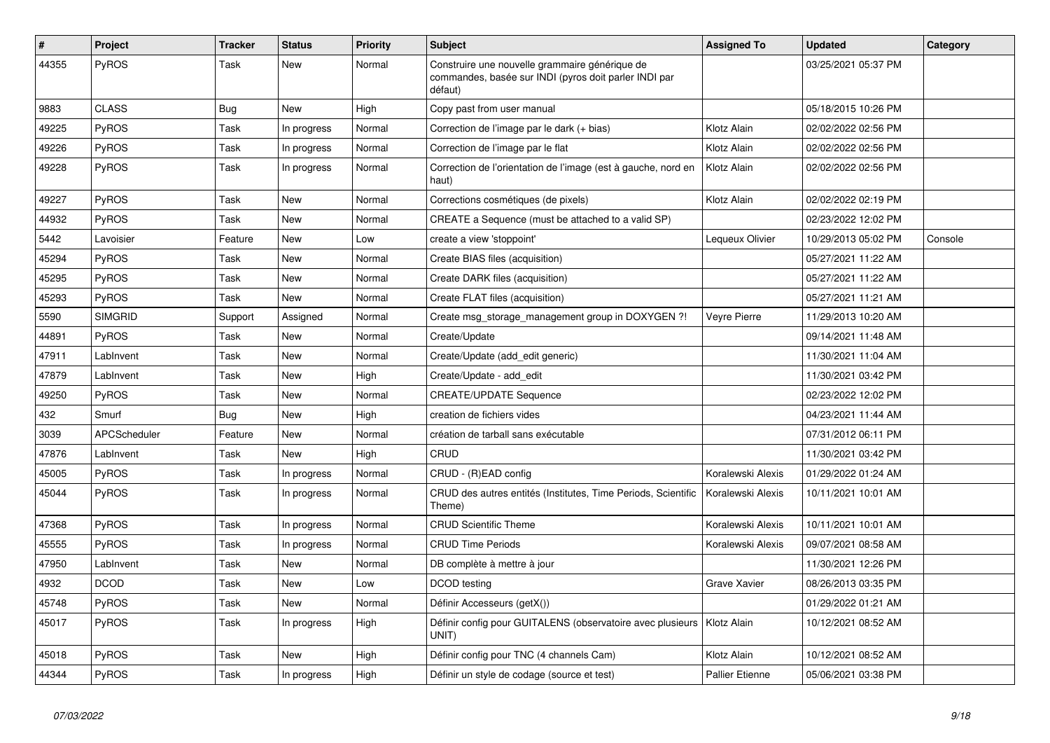| $\vert$ # | <b>Project</b>      | <b>Tracker</b> | <b>Status</b> | <b>Priority</b> | <b>Subject</b>                                                                                                     | <b>Assigned To</b>     | <b>Updated</b>      | Category |
|-----------|---------------------|----------------|---------------|-----------------|--------------------------------------------------------------------------------------------------------------------|------------------------|---------------------|----------|
| 44355     | PyROS               | Task           | <b>New</b>    | Normal          | Construire une nouvelle grammaire générique de<br>commandes, basée sur INDI (pyros doit parler INDI par<br>défaut) |                        | 03/25/2021 05:37 PM |          |
| 9883      | <b>CLASS</b>        | Bug            | <b>New</b>    | High            | Copy past from user manual                                                                                         |                        | 05/18/2015 10:26 PM |          |
| 49225     | PyROS               | Task           | In progress   | Normal          | Correction de l'image par le dark (+ bias)                                                                         | Klotz Alain            | 02/02/2022 02:56 PM |          |
| 49226     | PyROS               | Task           | In progress   | Normal          | Correction de l'image par le flat                                                                                  | Klotz Alain            | 02/02/2022 02:56 PM |          |
| 49228     | <b>PyROS</b>        | Task           | In progress   | Normal          | Correction de l'orientation de l'image (est à gauche, nord en<br>haut)                                             | Klotz Alain            | 02/02/2022 02:56 PM |          |
| 49227     | PyROS               | Task           | <b>New</b>    | Normal          | Corrections cosmétiques (de pixels)                                                                                | Klotz Alain            | 02/02/2022 02:19 PM |          |
| 44932     | <b>PyROS</b>        | Task           | <b>New</b>    | Normal          | CREATE a Sequence (must be attached to a valid SP)                                                                 |                        | 02/23/2022 12:02 PM |          |
| 5442      | Lavoisier           | Feature        | <b>New</b>    | Low             | create a view 'stoppoint'                                                                                          | Lequeux Olivier        | 10/29/2013 05:02 PM | Console  |
| 45294     | <b>PyROS</b>        | Task           | New           | Normal          | Create BIAS files (acquisition)                                                                                    |                        | 05/27/2021 11:22 AM |          |
| 45295     | PyROS               | Task           | <b>New</b>    | Normal          | Create DARK files (acquisition)                                                                                    |                        | 05/27/2021 11:22 AM |          |
| 45293     | PyROS               | Task           | <b>New</b>    | Normal          | Create FLAT files (acquisition)                                                                                    |                        | 05/27/2021 11:21 AM |          |
| 5590      | <b>SIMGRID</b>      | Support        | Assigned      | Normal          | Create msg_storage_management group in DOXYGEN ?!                                                                  | <b>Veyre Pierre</b>    | 11/29/2013 10:20 AM |          |
| 44891     | <b>PyROS</b>        | Task           | New           | Normal          | Create/Update                                                                                                      |                        | 09/14/2021 11:48 AM |          |
| 47911     | LabInvent           | Task           | <b>New</b>    | Normal          | Create/Update (add edit generic)                                                                                   |                        | 11/30/2021 11:04 AM |          |
| 47879     | LabInvent           | Task           | <b>New</b>    | High            | Create/Update - add edit                                                                                           |                        | 11/30/2021 03:42 PM |          |
| 49250     | PyROS               | Task           | <b>New</b>    | Normal          | <b>CREATE/UPDATE Sequence</b>                                                                                      |                        | 02/23/2022 12:02 PM |          |
| 432       | Smurf               | Bug            | <b>New</b>    | High            | creation de fichiers vides                                                                                         |                        | 04/23/2021 11:44 AM |          |
| 3039      | <b>APCScheduler</b> | Feature        | <b>New</b>    | Normal          | création de tarball sans exécutable                                                                                |                        | 07/31/2012 06:11 PM |          |
| 47876     | LabInvent           | Task           | <b>New</b>    | High            | CRUD                                                                                                               |                        | 11/30/2021 03:42 PM |          |
| 45005     | PyROS               | Task           | In progress   | Normal          | CRUD - (R)EAD config                                                                                               | Koralewski Alexis      | 01/29/2022 01:24 AM |          |
| 45044     | <b>PyROS</b>        | Task           | In progress   | Normal          | CRUD des autres entités (Institutes, Time Periods, Scientific<br>Theme)                                            | Koralewski Alexis      | 10/11/2021 10:01 AM |          |
| 47368     | PyROS               | Task           | In progress   | Normal          | <b>CRUD Scientific Theme</b>                                                                                       | Koralewski Alexis      | 10/11/2021 10:01 AM |          |
| 45555     | <b>PyROS</b>        | Task           | In progress   | Normal          | <b>CRUD Time Periods</b>                                                                                           | Koralewski Alexis      | 09/07/2021 08:58 AM |          |
| 47950     | LabInvent           | Task           | <b>New</b>    | Normal          | DB complète à mettre à jour                                                                                        |                        | 11/30/2021 12:26 PM |          |
| 4932      | <b>DCOD</b>         | Task           | <b>New</b>    | Low             | DCOD testing                                                                                                       | Grave Xavier           | 08/26/2013 03:35 PM |          |
| 45748     | PyROS               | Task           | <b>New</b>    | Normal          | Définir Accesseurs (getX())                                                                                        |                        | 01/29/2022 01:21 AM |          |
| 45017     | <b>PyROS</b>        | Task           | In progress   | High            | Définir config pour GUITALENS (observatoire avec plusieurs<br>UNIT)                                                | Klotz Alain            | 10/12/2021 08:52 AM |          |
| 45018     | PyROS               | Task           | <b>New</b>    | High            | Définir config pour TNC (4 channels Cam)                                                                           | Klotz Alain            | 10/12/2021 08:52 AM |          |
| 44344     | <b>PyROS</b>        | Task           | In progress   | High            | Définir un style de codage (source et test)                                                                        | <b>Pallier Etienne</b> | 05/06/2021 03:38 PM |          |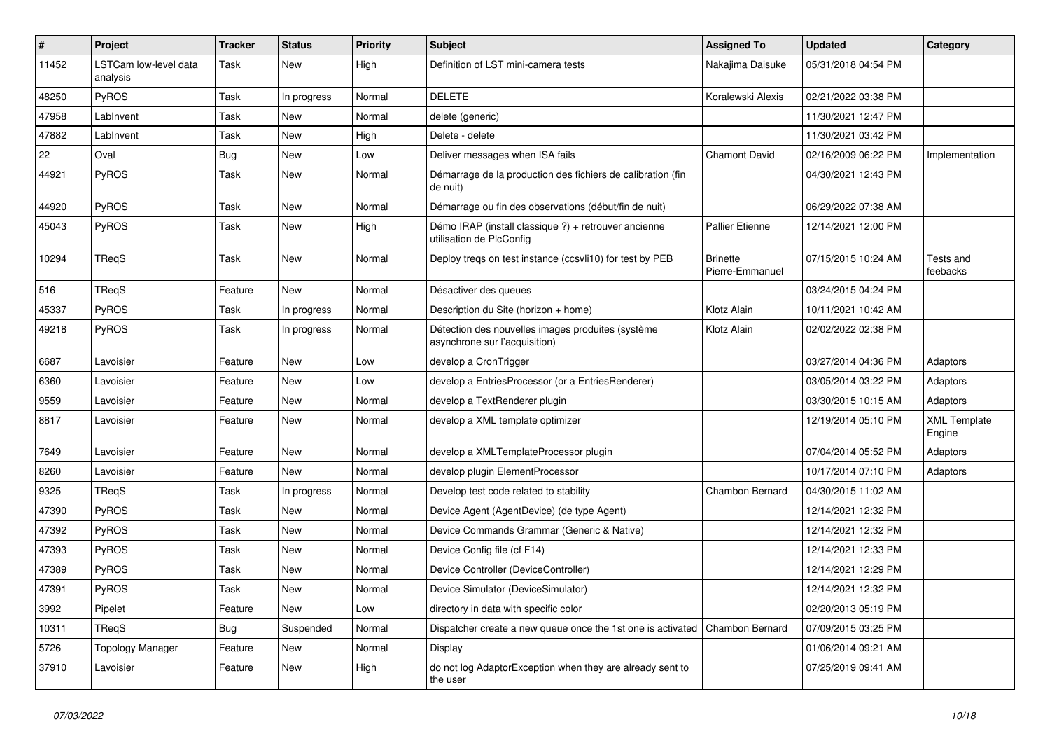| #     | Project                           | <b>Tracker</b> | <b>Status</b> | <b>Priority</b> | <b>Subject</b>                                                                     | <b>Assigned To</b>                 | <b>Updated</b>      | Category                      |
|-------|-----------------------------------|----------------|---------------|-----------------|------------------------------------------------------------------------------------|------------------------------------|---------------------|-------------------------------|
| 11452 | LSTCam low-level data<br>analysis | Task           | New           | High            | Definition of LST mini-camera tests                                                | Nakajima Daisuke                   | 05/31/2018 04:54 PM |                               |
| 48250 | PyROS                             | Task           | In progress   | Normal          | <b>DELETE</b>                                                                      | Koralewski Alexis                  | 02/21/2022 03:38 PM |                               |
| 47958 | LabInvent                         | Task           | New           | Normal          | delete (generic)                                                                   |                                    | 11/30/2021 12:47 PM |                               |
| 47882 | LabInvent                         | Task           | <b>New</b>    | High            | Delete - delete                                                                    |                                    | 11/30/2021 03:42 PM |                               |
| 22    | Oval                              | <b>Bug</b>     | New           | Low             | Deliver messages when ISA fails                                                    | <b>Chamont David</b>               | 02/16/2009 06:22 PM | Implementation                |
| 44921 | PyROS                             | Task           | New           | Normal          | Démarrage de la production des fichiers de calibration (fin<br>de nuit)            |                                    | 04/30/2021 12:43 PM |                               |
| 44920 | PyROS                             | Task           | <b>New</b>    | Normal          | Démarrage ou fin des observations (début/fin de nuit)                              |                                    | 06/29/2022 07:38 AM |                               |
| 45043 | PyROS                             | Task           | <b>New</b>    | High            | Démo IRAP (install classique ?) + retrouver ancienne<br>utilisation de PlcConfig   | <b>Pallier Etienne</b>             | 12/14/2021 12:00 PM |                               |
| 10294 | TReqS                             | Task           | New           | Normal          | Deploy tregs on test instance (ccsvli10) for test by PEB                           | <b>Brinette</b><br>Pierre-Emmanuel | 07/15/2015 10:24 AM | Tests and<br>feebacks         |
| 516   | TReqS                             | Feature        | <b>New</b>    | Normal          | Désactiver des queues                                                              |                                    | 03/24/2015 04:24 PM |                               |
| 45337 | PyROS                             | Task           | In progress   | Normal          | Description du Site (horizon + home)                                               | Klotz Alain                        | 10/11/2021 10:42 AM |                               |
| 49218 | PyROS                             | Task           | In progress   | Normal          | Détection des nouvelles images produites (système<br>asynchrone sur l'acquisition) | Klotz Alain                        | 02/02/2022 02:38 PM |                               |
| 6687  | Lavoisier                         | Feature        | <b>New</b>    | Low             | develop a CronTrigger                                                              |                                    | 03/27/2014 04:36 PM | Adaptors                      |
| 6360  | Lavoisier                         | Feature        | New           | Low             | develop a EntriesProcessor (or a EntriesRenderer)                                  |                                    | 03/05/2014 03:22 PM | Adaptors                      |
| 9559  | Lavoisier                         | Feature        | New           | Normal          | develop a TextRenderer plugin                                                      |                                    | 03/30/2015 10:15 AM | Adaptors                      |
| 8817  | Lavoisier                         | Feature        | <b>New</b>    | Normal          | develop a XML template optimizer                                                   |                                    | 12/19/2014 05:10 PM | <b>XML Template</b><br>Engine |
| 7649  | Lavoisier                         | Feature        | <b>New</b>    | Normal          | develop a XMLTemplateProcessor plugin                                              |                                    | 07/04/2014 05:52 PM | Adaptors                      |
| 8260  | Lavoisier                         | Feature        | New           | Normal          | develop plugin ElementProcessor                                                    |                                    | 10/17/2014 07:10 PM | Adaptors                      |
| 9325  | TReaS                             | Task           | In progress   | Normal          | Develop test code related to stability                                             | Chambon Bernard                    | 04/30/2015 11:02 AM |                               |
| 47390 | PyROS                             | Task           | <b>New</b>    | Normal          | Device Agent (AgentDevice) (de type Agent)                                         |                                    | 12/14/2021 12:32 PM |                               |
| 47392 | PyROS                             | Task           | New           | Normal          | Device Commands Grammar (Generic & Native)                                         |                                    | 12/14/2021 12:32 PM |                               |
| 47393 | PyROS                             | Task           | New           | Normal          | Device Config file (cf F14)                                                        |                                    | 12/14/2021 12:33 PM |                               |
| 47389 | PyROS                             | Task           | New           | Normal          | Device Controller (DeviceController)                                               |                                    | 12/14/2021 12:29 PM |                               |
| 47391 | PyROS                             | Task           | New           | Normal          | Device Simulator (DeviceSimulator)                                                 |                                    | 12/14/2021 12:32 PM |                               |
| 3992  | Pipelet                           | Feature        | New           | Low             | directory in data with specific color                                              |                                    | 02/20/2013 05:19 PM |                               |
| 10311 | TReqS                             | <b>Bug</b>     | Suspended     | Normal          | Dispatcher create a new queue once the 1st one is activated                        | Chambon Bernard                    | 07/09/2015 03:25 PM |                               |
| 5726  | Topology Manager                  | Feature        | New           | Normal          | Display                                                                            |                                    | 01/06/2014 09:21 AM |                               |
| 37910 | Lavoisier                         | Feature        | New           | High            | do not log AdaptorException when they are already sent to<br>the user              |                                    | 07/25/2019 09:41 AM |                               |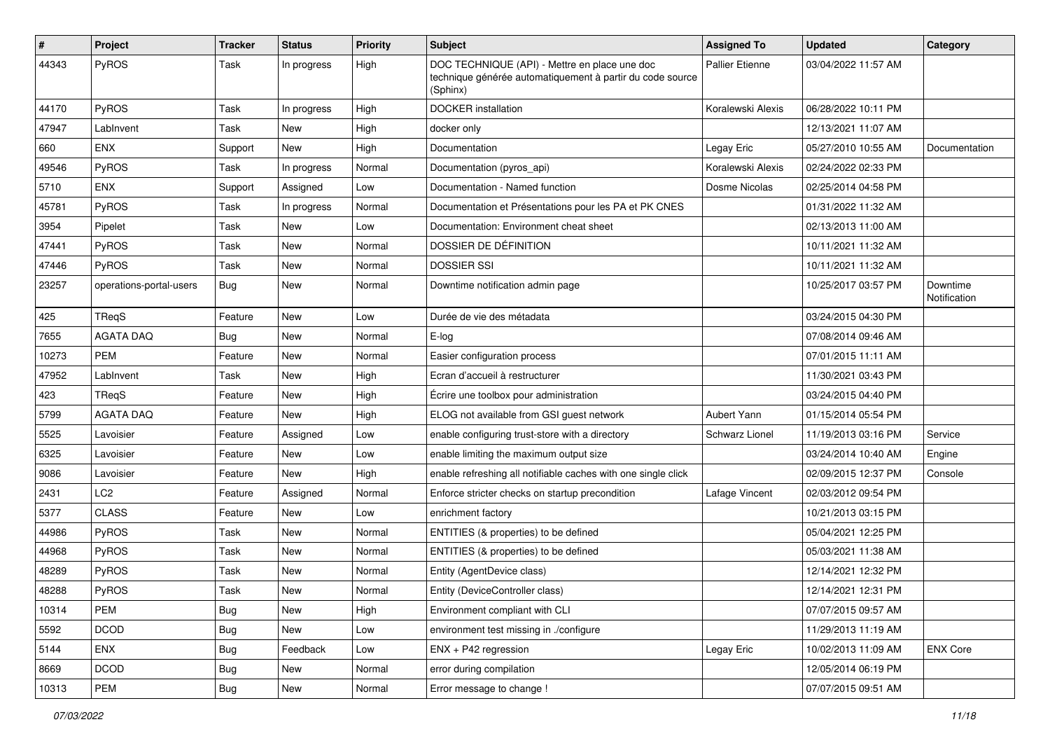| #     | Project                 | <b>Tracker</b> | <b>Status</b> | <b>Priority</b> | <b>Subject</b>                                                                                                         | <b>Assigned To</b>     | <b>Updated</b>      | Category                 |
|-------|-------------------------|----------------|---------------|-----------------|------------------------------------------------------------------------------------------------------------------------|------------------------|---------------------|--------------------------|
| 44343 | PyROS                   | Task           | In progress   | High            | DOC TECHNIQUE (API) - Mettre en place une doc<br>technique générée automatiquement à partir du code source<br>(Sphinx) | <b>Pallier Etienne</b> | 03/04/2022 11:57 AM |                          |
| 44170 | PyROS                   | <b>Task</b>    | In progress   | High            | <b>DOCKER</b> installation                                                                                             | Koralewski Alexis      | 06/28/2022 10:11 PM |                          |
| 47947 | LabInvent               | <b>Task</b>    | <b>New</b>    | High            | docker only                                                                                                            |                        | 12/13/2021 11:07 AM |                          |
| 660   | <b>ENX</b>              | Support        | <b>New</b>    | High            | Documentation                                                                                                          | Legay Eric             | 05/27/2010 10:55 AM | Documentation            |
| 49546 | PyROS                   | Task           | In progress   | Normal          | Documentation (pyros_api)                                                                                              | Koralewski Alexis      | 02/24/2022 02:33 PM |                          |
| 5710  | <b>ENX</b>              | Support        | Assigned      | Low             | Documentation - Named function                                                                                         | Dosme Nicolas          | 02/25/2014 04:58 PM |                          |
| 45781 | PyROS                   | Task           | In progress   | Normal          | Documentation et Présentations pour les PA et PK CNES                                                                  |                        | 01/31/2022 11:32 AM |                          |
| 3954  | Pipelet                 | Task           | <b>New</b>    | Low             | Documentation: Environment cheat sheet                                                                                 |                        | 02/13/2013 11:00 AM |                          |
| 47441 | PyROS                   | Task           | <b>New</b>    | Normal          | DOSSIER DE DÉFINITION                                                                                                  |                        | 10/11/2021 11:32 AM |                          |
| 47446 | PyROS                   | Task           | New           | Normal          | <b>DOSSIER SSI</b>                                                                                                     |                        | 10/11/2021 11:32 AM |                          |
| 23257 | operations-portal-users | <b>Bug</b>     | <b>New</b>    | Normal          | Downtime notification admin page                                                                                       |                        | 10/25/2017 03:57 PM | Downtime<br>Notification |
| 425   | TRegS                   | Feature        | <b>New</b>    | Low             | Durée de vie des métadata                                                                                              |                        | 03/24/2015 04:30 PM |                          |
| 7655  | <b>AGATA DAQ</b>        | <b>Bug</b>     | New           | Normal          | E-log                                                                                                                  |                        | 07/08/2014 09:46 AM |                          |
| 10273 | <b>PEM</b>              | Feature        | New           | Normal          | Easier configuration process                                                                                           |                        | 07/01/2015 11:11 AM |                          |
| 47952 | LabInvent               | Task           | <b>New</b>    | High            | Ecran d'accueil à restructurer                                                                                         |                        | 11/30/2021 03:43 PM |                          |
| 423   | TReqS                   | Feature        | New           | High            | Écrire une toolbox pour administration                                                                                 |                        | 03/24/2015 04:40 PM |                          |
| 5799  | <b>AGATA DAQ</b>        | Feature        | <b>New</b>    | High            | ELOG not available from GSI guest network                                                                              | Aubert Yann            | 01/15/2014 05:54 PM |                          |
| 5525  | Lavoisier               | Feature        | Assigned      | Low             | enable configuring trust-store with a directory                                                                        | Schwarz Lionel         | 11/19/2013 03:16 PM | Service                  |
| 6325  | Lavoisier               | Feature        | New           | Low             | enable limiting the maximum output size                                                                                |                        | 03/24/2014 10:40 AM | Engine                   |
| 9086  | Lavoisier               | Feature        | <b>New</b>    | High            | enable refreshing all notifiable caches with one single click                                                          |                        | 02/09/2015 12:37 PM | Console                  |
| 2431  | LC2                     | Feature        | Assigned      | Normal          | Enforce stricter checks on startup precondition                                                                        | Lafage Vincent         | 02/03/2012 09:54 PM |                          |
| 5377  | <b>CLASS</b>            | Feature        | New           | Low             | enrichment factory                                                                                                     |                        | 10/21/2013 03:15 PM |                          |
| 44986 | PyROS                   | Task           | New           | Normal          | ENTITIES (& properties) to be defined                                                                                  |                        | 05/04/2021 12:25 PM |                          |
| 44968 | PyROS                   | Task           | <b>New</b>    | Normal          | ENTITIES (& properties) to be defined                                                                                  |                        | 05/03/2021 11:38 AM |                          |
| 48289 | PyROS                   | Task           | <b>New</b>    | Normal          | Entity (AgentDevice class)                                                                                             |                        | 12/14/2021 12:32 PM |                          |
| 48288 | PyROS                   | Task           | New           | Normal          | Entity (DeviceController class)                                                                                        |                        | 12/14/2021 12:31 PM |                          |
| 10314 | PEM                     | <b>Bug</b>     | New           | High            | Environment compliant with CLI                                                                                         |                        | 07/07/2015 09:57 AM |                          |
| 5592  | <b>DCOD</b>             | <b>Bug</b>     | New           | Low             | environment test missing in ./configure                                                                                |                        | 11/29/2013 11:19 AM |                          |
| 5144  | ENX                     | <b>Bug</b>     | Feedback      | Low             | $ENX + P42$ regression                                                                                                 | Legay Eric             | 10/02/2013 11:09 AM | <b>ENX Core</b>          |
| 8669  | <b>DCOD</b>             | <b>Bug</b>     | New           | Normal          | error during compilation                                                                                               |                        | 12/05/2014 06:19 PM |                          |
| 10313 | PEM                     | <b>Bug</b>     | New           | Normal          | Error message to change !                                                                                              |                        | 07/07/2015 09:51 AM |                          |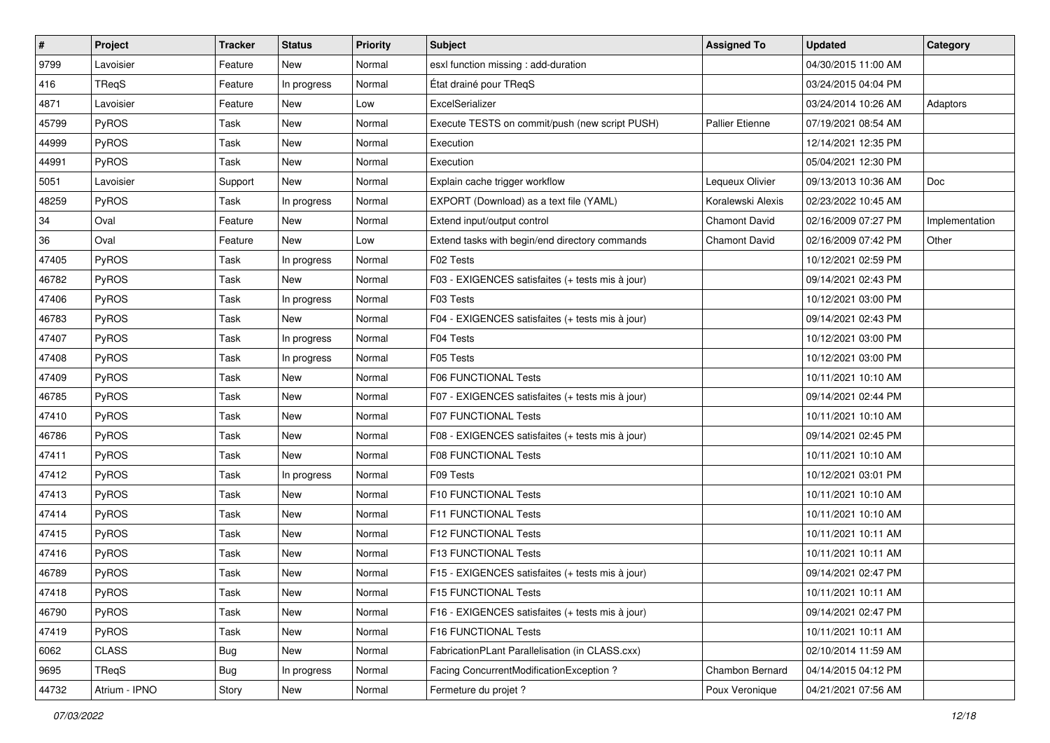| $\vert$ # | Project       | Tracker    | <b>Status</b> | <b>Priority</b> | <b>Subject</b>                                   | <b>Assigned To</b>     | <b>Updated</b>      | Category       |
|-----------|---------------|------------|---------------|-----------------|--------------------------------------------------|------------------------|---------------------|----------------|
| 9799      | Lavoisier     | Feature    | New           | Normal          | esxl function missing : add-duration             |                        | 04/30/2015 11:00 AM |                |
| 416       | <b>TRegS</b>  | Feature    | In progress   | Normal          | État drainé pour TReqS                           |                        | 03/24/2015 04:04 PM |                |
| 4871      | Lavoisier     | Feature    | New           | Low             | ExcelSerializer                                  |                        | 03/24/2014 10:26 AM | Adaptors       |
| 45799     | PyROS         | Task       | New           | Normal          | Execute TESTS on commit/push (new script PUSH)   | <b>Pallier Etienne</b> | 07/19/2021 08:54 AM |                |
| 44999     | <b>PyROS</b>  | Task       | New           | Normal          | Execution                                        |                        | 12/14/2021 12:35 PM |                |
| 44991     | PyROS         | Task       | New           | Normal          | Execution                                        |                        | 05/04/2021 12:30 PM |                |
| 5051      | Lavoisier     | Support    | New           | Normal          | Explain cache trigger workflow                   | Lequeux Olivier        | 09/13/2013 10:36 AM | Doc            |
| 48259     | PyROS         | Task       | In progress   | Normal          | EXPORT (Download) as a text file (YAML)          | Koralewski Alexis      | 02/23/2022 10:45 AM |                |
| 34        | Oval          | Feature    | New           | Normal          | Extend input/output control                      | <b>Chamont David</b>   | 02/16/2009 07:27 PM | Implementation |
| 36        | Oval          | Feature    | New           | Low             | Extend tasks with begin/end directory commands   | <b>Chamont David</b>   | 02/16/2009 07:42 PM | Other          |
| 47405     | PyROS         | Task       | In progress   | Normal          | F02 Tests                                        |                        | 10/12/2021 02:59 PM |                |
| 46782     | PyROS         | Task       | <b>New</b>    | Normal          | F03 - EXIGENCES satisfaites (+ tests mis à jour) |                        | 09/14/2021 02:43 PM |                |
| 47406     | PyROS         | Task       | In progress   | Normal          | F03 Tests                                        |                        | 10/12/2021 03:00 PM |                |
| 46783     | PyROS         | Task       | New           | Normal          | F04 - EXIGENCES satisfaites (+ tests mis à jour) |                        | 09/14/2021 02:43 PM |                |
| 47407     | PyROS         | Task       | In progress   | Normal          | F04 Tests                                        |                        | 10/12/2021 03:00 PM |                |
| 47408     | PyROS         | Task       | In progress   | Normal          | F05 Tests                                        |                        | 10/12/2021 03:00 PM |                |
| 47409     | <b>PyROS</b>  | Task       | New           | Normal          | <b>F06 FUNCTIONAL Tests</b>                      |                        | 10/11/2021 10:10 AM |                |
| 46785     | PyROS         | Task       | New           | Normal          | F07 - EXIGENCES satisfaites (+ tests mis à jour) |                        | 09/14/2021 02:44 PM |                |
| 47410     | PyROS         | Task       | New           | Normal          | <b>F07 FUNCTIONAL Tests</b>                      |                        | 10/11/2021 10:10 AM |                |
| 46786     | PyROS         | Task       | New           | Normal          | F08 - EXIGENCES satisfaites (+ tests mis à jour) |                        | 09/14/2021 02:45 PM |                |
| 47411     | PyROS         | Task       | New           | Normal          | <b>F08 FUNCTIONAL Tests</b>                      |                        | 10/11/2021 10:10 AM |                |
| 47412     | <b>PyROS</b>  | Task       | In progress   | Normal          | F09 Tests                                        |                        | 10/12/2021 03:01 PM |                |
| 47413     | PyROS         | Task       | New           | Normal          | F10 FUNCTIONAL Tests                             |                        | 10/11/2021 10:10 AM |                |
| 47414     | PyROS         | Task       | New           | Normal          | F11 FUNCTIONAL Tests                             |                        | 10/11/2021 10:10 AM |                |
| 47415     | PyROS         | Task       | New           | Normal          | F12 FUNCTIONAL Tests                             |                        | 10/11/2021 10:11 AM |                |
| 47416     | PyROS         | Task       | New           | Normal          | <b>F13 FUNCTIONAL Tests</b>                      |                        | 10/11/2021 10:11 AM |                |
| 46789     | PyROS         | Task       | New           | Normal          | F15 - EXIGENCES satisfaites (+ tests mis à jour) |                        | 09/14/2021 02:47 PM |                |
| 47418     | PyROS         | Task       | New           | Normal          | F15 FUNCTIONAL Tests                             |                        | 10/11/2021 10:11 AM |                |
| 46790     | PyROS         | Task       | New           | Normal          | F16 - EXIGENCES satisfaites (+ tests mis à jour) |                        | 09/14/2021 02:47 PM |                |
| 47419     | PyROS         | Task       | New           | Normal          | F16 FUNCTIONAL Tests                             |                        | 10/11/2021 10:11 AM |                |
| 6062      | <b>CLASS</b>  | <b>Bug</b> | New           | Normal          | FabricationPLant Parallelisation (in CLASS.cxx)  |                        | 02/10/2014 11:59 AM |                |
| 9695      | TReqS         | <b>Bug</b> | In progress   | Normal          | Facing ConcurrentModificationException ?         | Chambon Bernard        | 04/14/2015 04:12 PM |                |
| 44732     | Atrium - IPNO | Story      | New           | Normal          | Fermeture du projet ?                            | Poux Veronique         | 04/21/2021 07:56 AM |                |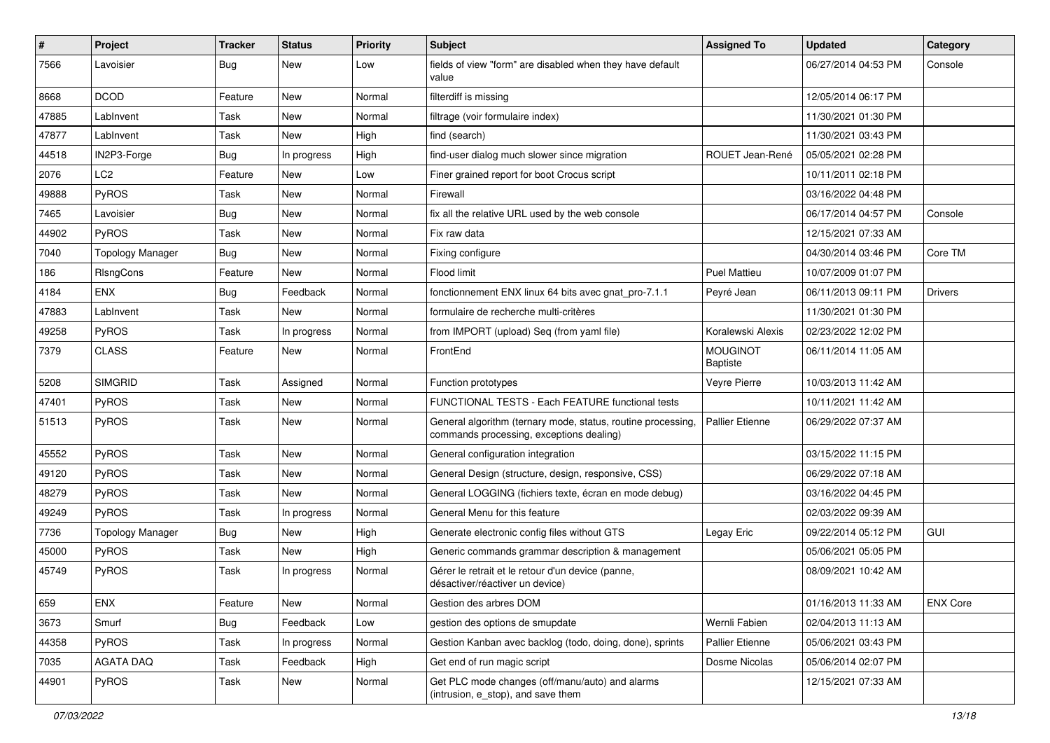| #     | <b>Project</b>          | <b>Tracker</b> | <b>Status</b> | <b>Priority</b> | <b>Subject</b>                                                                                           | <b>Assigned To</b>                 | <b>Updated</b>      | Category        |
|-------|-------------------------|----------------|---------------|-----------------|----------------------------------------------------------------------------------------------------------|------------------------------------|---------------------|-----------------|
| 7566  | Lavoisier               | <b>Bug</b>     | New           | Low             | fields of view "form" are disabled when they have default<br>value                                       |                                    | 06/27/2014 04:53 PM | Console         |
| 8668  | <b>DCOD</b>             | Feature        | <b>New</b>    | Normal          | filterdiff is missing                                                                                    |                                    | 12/05/2014 06:17 PM |                 |
| 47885 | LabInvent               | Task           | New           | Normal          | filtrage (voir formulaire index)                                                                         |                                    | 11/30/2021 01:30 PM |                 |
| 47877 | LabInvent               | Task           | <b>New</b>    | High            | find (search)                                                                                            |                                    | 11/30/2021 03:43 PM |                 |
| 44518 | IN2P3-Forge             | <b>Bug</b>     | In progress   | High            | find-user dialog much slower since migration                                                             | ROUET Jean-René                    | 05/05/2021 02:28 PM |                 |
| 2076  | LC <sub>2</sub>         | Feature        | <b>New</b>    | Low             | Finer grained report for boot Crocus script                                                              |                                    | 10/11/2011 02:18 PM |                 |
| 49888 | PyROS                   | Task           | New           | Normal          | Firewall                                                                                                 |                                    | 03/16/2022 04:48 PM |                 |
| 7465  | Lavoisier               | <b>Bug</b>     | <b>New</b>    | Normal          | fix all the relative URL used by the web console                                                         |                                    | 06/17/2014 04:57 PM | Console         |
| 44902 | PyROS                   | Task           | <b>New</b>    | Normal          | Fix raw data                                                                                             |                                    | 12/15/2021 07:33 AM |                 |
| 7040  | <b>Topology Manager</b> | <b>Bug</b>     | <b>New</b>    | Normal          | Fixing configure                                                                                         |                                    | 04/30/2014 03:46 PM | Core TM         |
| 186   | RIsngCons               | Feature        | <b>New</b>    | Normal          | Flood limit                                                                                              | <b>Puel Mattieu</b>                | 10/07/2009 01:07 PM |                 |
| 4184  | <b>ENX</b>              | Bug            | Feedback      | Normal          | fonctionnement ENX linux 64 bits avec gnat pro-7.1.1                                                     | Peyré Jean                         | 06/11/2013 09:11 PM | <b>Drivers</b>  |
| 47883 | LabInvent               | Task           | New           | Normal          | formulaire de recherche multi-critères                                                                   |                                    | 11/30/2021 01:30 PM |                 |
| 49258 | PyROS                   | Task           | In progress   | Normal          | from IMPORT (upload) Seq (from yaml file)                                                                | Koralewski Alexis                  | 02/23/2022 12:02 PM |                 |
| 7379  | <b>CLASS</b>            | Feature        | New           | Normal          | FrontEnd                                                                                                 | <b>MOUGINOT</b><br><b>Baptiste</b> | 06/11/2014 11:05 AM |                 |
| 5208  | <b>SIMGRID</b>          | Task           | Assigned      | Normal          | Function prototypes                                                                                      | Veyre Pierre                       | 10/03/2013 11:42 AM |                 |
| 47401 | <b>PyROS</b>            | Task           | <b>New</b>    | Normal          | FUNCTIONAL TESTS - Each FEATURE functional tests                                                         |                                    | 10/11/2021 11:42 AM |                 |
| 51513 | PyROS                   | Task           | <b>New</b>    | Normal          | General algorithm (ternary mode, status, routine processing,<br>commands processing, exceptions dealing) | <b>Pallier Etienne</b>             | 06/29/2022 07:37 AM |                 |
| 45552 | PyROS                   | Task           | New           | Normal          | General configuration integration                                                                        |                                    | 03/15/2022 11:15 PM |                 |
| 49120 | <b>PyROS</b>            | Task           | <b>New</b>    | Normal          | General Design (structure, design, responsive, CSS)                                                      |                                    | 06/29/2022 07:18 AM |                 |
| 48279 | <b>PyROS</b>            | Task           | New           | Normal          | General LOGGING (fichiers texte, écran en mode debug)                                                    |                                    | 03/16/2022 04:45 PM |                 |
| 49249 | PyROS                   | Task           | In progress   | Normal          | General Menu for this feature                                                                            |                                    | 02/03/2022 09:39 AM |                 |
| 7736  | <b>Topology Manager</b> | Bug            | <b>New</b>    | High            | Generate electronic config files without GTS                                                             | Legay Eric                         | 09/22/2014 05:12 PM | GUI             |
| 45000 | <b>PyROS</b>            | Task           | New           | High            | Generic commands grammar description & management                                                        |                                    | 05/06/2021 05:05 PM |                 |
| 45749 | <b>PyROS</b>            | Task           | In progress   | Normal          | Gérer le retrait et le retour d'un device (panne,<br>désactiver/réactiver un device)                     |                                    | 08/09/2021 10:42 AM |                 |
| 659   | <b>ENX</b>              | Feature        | New           | Normal          | Gestion des arbres DOM                                                                                   |                                    | 01/16/2013 11:33 AM | <b>ENX Core</b> |
| 3673  | Smurf                   | Bug            | Feedback      | Low             | gestion des options de smupdate                                                                          | Wernli Fabien                      | 02/04/2013 11:13 AM |                 |
| 44358 | PyROS                   | Task           | In progress   | Normal          | Gestion Kanban avec backlog (todo, doing, done), sprints                                                 | <b>Pallier Etienne</b>             | 05/06/2021 03:43 PM |                 |
| 7035  | <b>AGATA DAQ</b>        | Task           | Feedback      | High            | Get end of run magic script                                                                              | Dosme Nicolas                      | 05/06/2014 02:07 PM |                 |
| 44901 | PyROS                   | Task           | New           | Normal          | Get PLC mode changes (off/manu/auto) and alarms<br>(intrusion, e_stop), and save them                    |                                    | 12/15/2021 07:33 AM |                 |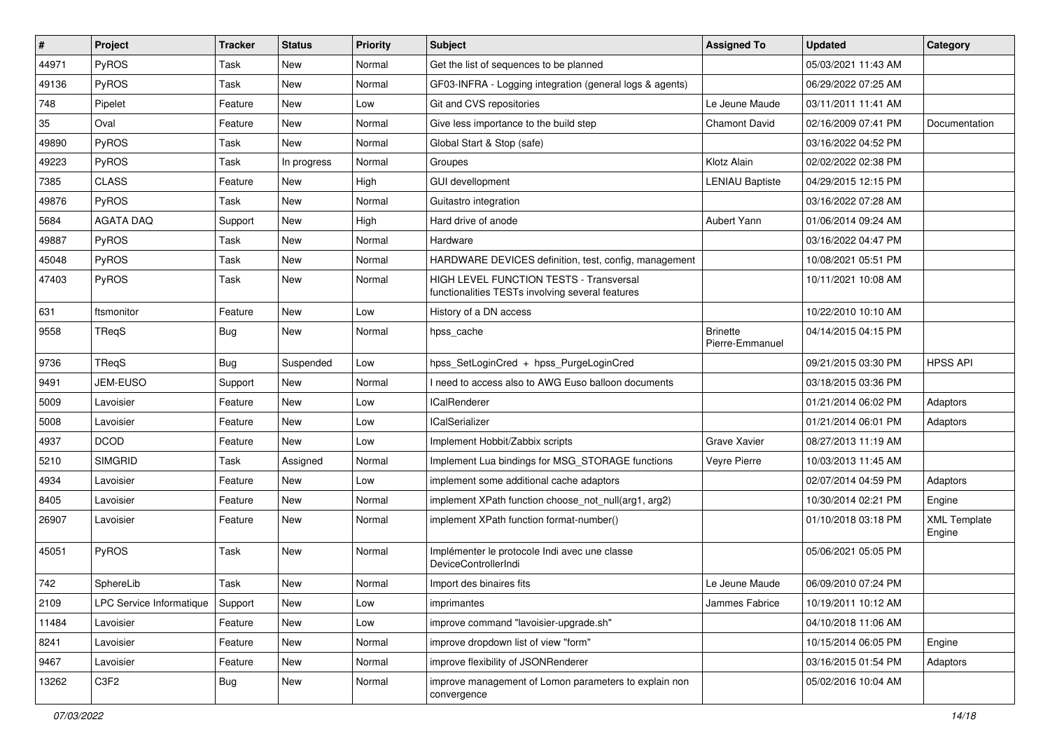| #     | Project                  | <b>Tracker</b> | <b>Status</b> | <b>Priority</b> | <b>Subject</b>                                                                              | <b>Assigned To</b>                 | <b>Updated</b>      | Category                      |
|-------|--------------------------|----------------|---------------|-----------------|---------------------------------------------------------------------------------------------|------------------------------------|---------------------|-------------------------------|
| 44971 | PyROS                    | Task           | New           | Normal          | Get the list of sequences to be planned                                                     |                                    | 05/03/2021 11:43 AM |                               |
| 49136 | PyROS                    | Task           | <b>New</b>    | Normal          | GF03-INFRA - Logging integration (general logs & agents)                                    |                                    | 06/29/2022 07:25 AM |                               |
| 748   | Pipelet                  | Feature        | New           | Low             | Git and CVS repositories                                                                    | Le Jeune Maude                     | 03/11/2011 11:41 AM |                               |
| 35    | Oval                     | Feature        | New           | Normal          | Give less importance to the build step                                                      | <b>Chamont David</b>               | 02/16/2009 07:41 PM | Documentation                 |
| 49890 | PyROS                    | Task           | <b>New</b>    | Normal          | Global Start & Stop (safe)                                                                  |                                    | 03/16/2022 04:52 PM |                               |
| 49223 | PyROS                    | Task           | In progress   | Normal          | Groupes                                                                                     | Klotz Alain                        | 02/02/2022 02:38 PM |                               |
| 7385  | <b>CLASS</b>             | Feature        | New           | High            | GUI devellopment                                                                            | <b>LENIAU Baptiste</b>             | 04/29/2015 12:15 PM |                               |
| 49876 | PyROS                    | Task           | New           | Normal          | Guitastro integration                                                                       |                                    | 03/16/2022 07:28 AM |                               |
| 5684  | <b>AGATA DAQ</b>         | Support        | <b>New</b>    | High            | Hard drive of anode                                                                         | Aubert Yann                        | 01/06/2014 09:24 AM |                               |
| 49887 | PyROS                    | Task           | <b>New</b>    | Normal          | Hardware                                                                                    |                                    | 03/16/2022 04:47 PM |                               |
| 45048 | PyROS                    | Task           | New           | Normal          | HARDWARE DEVICES definition, test, config, management                                       |                                    | 10/08/2021 05:51 PM |                               |
| 47403 | PyROS                    | Task           | New           | Normal          | HIGH LEVEL FUNCTION TESTS - Transversal<br>functionalities TESTs involving several features |                                    | 10/11/2021 10:08 AM |                               |
| 631   | ftsmonitor               | Feature        | <b>New</b>    | Low             | History of a DN access                                                                      |                                    | 10/22/2010 10:10 AM |                               |
| 9558  | TRegS                    | <b>Bug</b>     | New           | Normal          | hpss_cache                                                                                  | <b>Brinette</b><br>Pierre-Emmanuel | 04/14/2015 04:15 PM |                               |
| 9736  | TRegS                    | Bug            | Suspended     | Low             | hpss_SetLoginCred + hpss_PurgeLoginCred                                                     |                                    | 09/21/2015 03:30 PM | <b>HPSS API</b>               |
| 9491  | JEM-EUSO                 | Support        | <b>New</b>    | Normal          | I need to access also to AWG Euso balloon documents                                         |                                    | 03/18/2015 03:36 PM |                               |
| 5009  | Lavoisier                | Feature        | New           | Low             | <b>ICalRenderer</b>                                                                         |                                    | 01/21/2014 06:02 PM | Adaptors                      |
| 5008  | Lavoisier                | Feature        | <b>New</b>    | Low             | <b>ICalSerializer</b>                                                                       |                                    | 01/21/2014 06:01 PM | Adaptors                      |
| 4937  | <b>DCOD</b>              | Feature        | <b>New</b>    | Low             | Implement Hobbit/Zabbix scripts                                                             | Grave Xavier                       | 08/27/2013 11:19 AM |                               |
| 5210  | <b>SIMGRID</b>           | Task           | Assigned      | Normal          | Implement Lua bindings for MSG STORAGE functions                                            | Veyre Pierre                       | 10/03/2013 11:45 AM |                               |
| 4934  | Lavoisier                | Feature        | <b>New</b>    | Low             | implement some additional cache adaptors                                                    |                                    | 02/07/2014 04:59 PM | Adaptors                      |
| 8405  | Lavoisier                | Feature        | New           | Normal          | implement XPath function choose not null(arg1, arg2)                                        |                                    | 10/30/2014 02:21 PM | Engine                        |
| 26907 | Lavoisier                | Feature        | New           | Normal          | implement XPath function format-number()                                                    |                                    | 01/10/2018 03:18 PM | <b>XML Template</b><br>Engine |
| 45051 | PyROS                    | Task           | <b>New</b>    | Normal          | Implémenter le protocole Indi avec une classe<br>DeviceControllerIndi                       |                                    | 05/06/2021 05:05 PM |                               |
| 742   | SphereLib                | Task           | New           | Normal          | Import des binaires fits                                                                    | Le Jeune Maude                     | 06/09/2010 07:24 PM |                               |
| 2109  | LPC Service Informatique | Support        | New           | Low             | imprimantes                                                                                 | Jammes Fabrice                     | 10/19/2011 10:12 AM |                               |
| 11484 | Lavoisier                | Feature        | <b>New</b>    | Low             | improve command "lavoisier-upgrade.sh"                                                      |                                    | 04/10/2018 11:06 AM |                               |
| 8241  | Lavoisier                | Feature        | New           | Normal          | improve dropdown list of view "form"                                                        |                                    | 10/15/2014 06:05 PM | Engine                        |
| 9467  | Lavoisier                | Feature        | <b>New</b>    | Normal          | improve flexibility of JSONRenderer                                                         |                                    | 03/16/2015 01:54 PM | Adaptors                      |
| 13262 | C3F2                     | Bug            | New           | Normal          | improve management of Lomon parameters to explain non<br>convergence                        |                                    | 05/02/2016 10:04 AM |                               |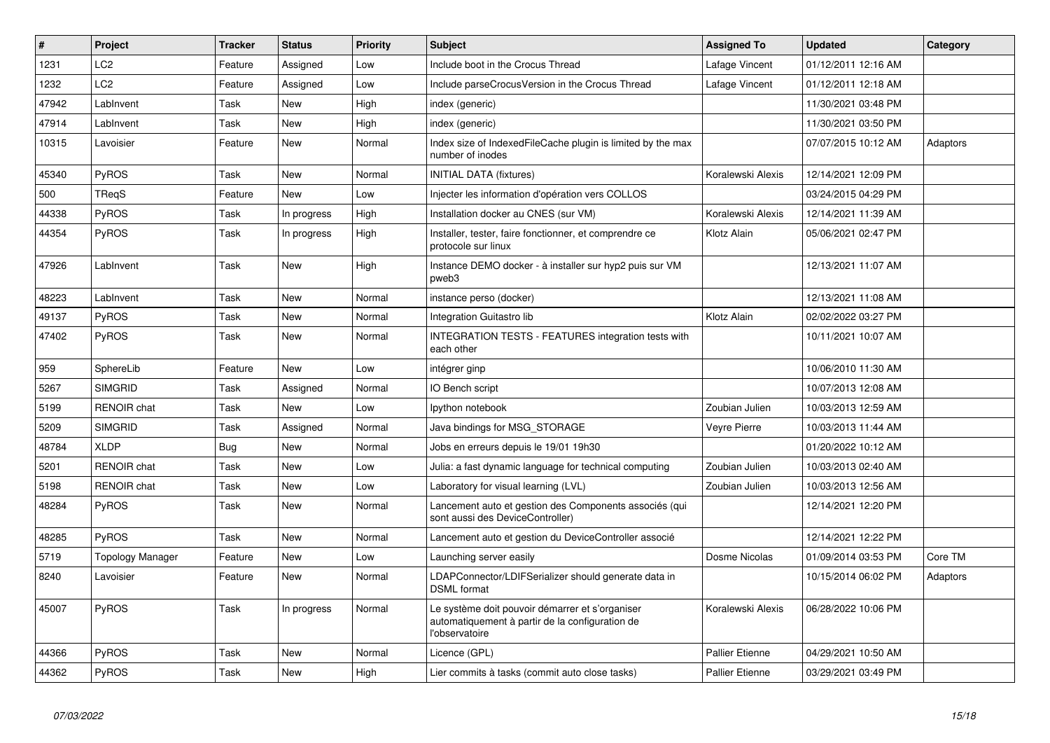| $\vert$ # | Project            | <b>Tracker</b> | <b>Status</b> | Priority | <b>Subject</b>                                                                                                       | <b>Assigned To</b>     | <b>Updated</b>      | Category |
|-----------|--------------------|----------------|---------------|----------|----------------------------------------------------------------------------------------------------------------------|------------------------|---------------------|----------|
| 1231      | LC2                | Feature        | Assigned      | Low      | Include boot in the Crocus Thread                                                                                    | Lafage Vincent         | 01/12/2011 12:16 AM |          |
| 1232      | LC <sub>2</sub>    | Feature        | Assigned      | Low      | Include parseCrocusVersion in the Crocus Thread                                                                      | Lafage Vincent         | 01/12/2011 12:18 AM |          |
| 47942     | LabInvent          | Task           | New           | High     | index (generic)                                                                                                      |                        | 11/30/2021 03:48 PM |          |
| 47914     | LabInvent          | Task           | New           | High     | index (generic)                                                                                                      |                        | 11/30/2021 03:50 PM |          |
| 10315     | Lavoisier          | Feature        | <b>New</b>    | Normal   | Index size of IndexedFileCache plugin is limited by the max<br>number of inodes                                      |                        | 07/07/2015 10:12 AM | Adaptors |
| 45340     | <b>PyROS</b>       | Task           | New           | Normal   | <b>INITIAL DATA (fixtures)</b>                                                                                       | Koralewski Alexis      | 12/14/2021 12:09 PM |          |
| 500       | TRegS              | Feature        | New           | Low      | Injecter les information d'opération vers COLLOS                                                                     |                        | 03/24/2015 04:29 PM |          |
| 44338     | <b>PyROS</b>       | Task           | In progress   | High     | Installation docker au CNES (sur VM)                                                                                 | Koralewski Alexis      | 12/14/2021 11:39 AM |          |
| 44354     | <b>PyROS</b>       | Task           | In progress   | High     | Installer, tester, faire fonctionner, et comprendre ce<br>protocole sur linux                                        | Klotz Alain            | 05/06/2021 02:47 PM |          |
| 47926     | LabInvent          | Task           | New           | High     | Instance DEMO docker - à installer sur hyp2 puis sur VM<br>pweb3                                                     |                        | 12/13/2021 11:07 AM |          |
| 48223     | LabInvent          | Task           | <b>New</b>    | Normal   | instance perso (docker)                                                                                              |                        | 12/13/2021 11:08 AM |          |
| 49137     | PyROS              | Task           | <b>New</b>    | Normal   | Integration Guitastro lib                                                                                            | Klotz Alain            | 02/02/2022 03:27 PM |          |
| 47402     | <b>PyROS</b>       | Task           | <b>New</b>    | Normal   | <b>INTEGRATION TESTS - FEATURES integration tests with</b><br>each other                                             |                        | 10/11/2021 10:07 AM |          |
| 959       | SphereLib          | Feature        | <b>New</b>    | Low      | intégrer ginp                                                                                                        |                        | 10/06/2010 11:30 AM |          |
| 5267      | <b>SIMGRID</b>     | Task           | Assigned      | Normal   | IO Bench script                                                                                                      |                        | 10/07/2013 12:08 AM |          |
| 5199      | <b>RENOIR chat</b> | Task           | New           | Low      | lpython notebook                                                                                                     | Zoubian Julien         | 10/03/2013 12:59 AM |          |
| 5209      | <b>SIMGRID</b>     | Task           | Assigned      | Normal   | Java bindings for MSG_STORAGE                                                                                        | <b>Veyre Pierre</b>    | 10/03/2013 11:44 AM |          |
| 48784     | <b>XLDP</b>        | Bug            | <b>New</b>    | Normal   | Jobs en erreurs depuis le 19/01 19h30                                                                                |                        | 01/20/2022 10:12 AM |          |
| 5201      | <b>RENOIR chat</b> | Task           | <b>New</b>    | Low      | Julia: a fast dynamic language for technical computing                                                               | Zoubian Julien         | 10/03/2013 02:40 AM |          |
| 5198      | <b>RENOIR chat</b> | Task           | New           | Low      | Laboratory for visual learning (LVL)                                                                                 | Zoubian Julien         | 10/03/2013 12:56 AM |          |
| 48284     | PyROS              | Task           | <b>New</b>    | Normal   | Lancement auto et gestion des Components associés (qui<br>sont aussi des DeviceController)                           |                        | 12/14/2021 12:20 PM |          |
| 48285     | PyROS              | Task           | <b>New</b>    | Normal   | Lancement auto et gestion du DeviceController associé                                                                |                        | 12/14/2021 12:22 PM |          |
| 5719      | Topology Manager   | Feature        | New           | Low      | Launching server easily                                                                                              | Dosme Nicolas          | 01/09/2014 03:53 PM | Core TM  |
| 8240      | Lavoisier          | Feature        | <b>New</b>    | Normal   | LDAPConnector/LDIFSerializer should generate data in<br><b>DSML</b> format                                           |                        | 10/15/2014 06:02 PM | Adaptors |
| 45007     | <b>PyROS</b>       | Task           | In progress   | Normal   | Le système doit pouvoir démarrer et s'organiser<br>automatiquement à partir de la configuration de<br>l'observatoire | Koralewski Alexis      | 06/28/2022 10:06 PM |          |
| 44366     | PyROS              | Task           | New           | Normal   | Licence (GPL)                                                                                                        | <b>Pallier Etienne</b> | 04/29/2021 10:50 AM |          |
| 44362     | PyROS              | Task           | <b>New</b>    | High     | Lier commits à tasks (commit auto close tasks)                                                                       | <b>Pallier Etienne</b> | 03/29/2021 03:49 PM |          |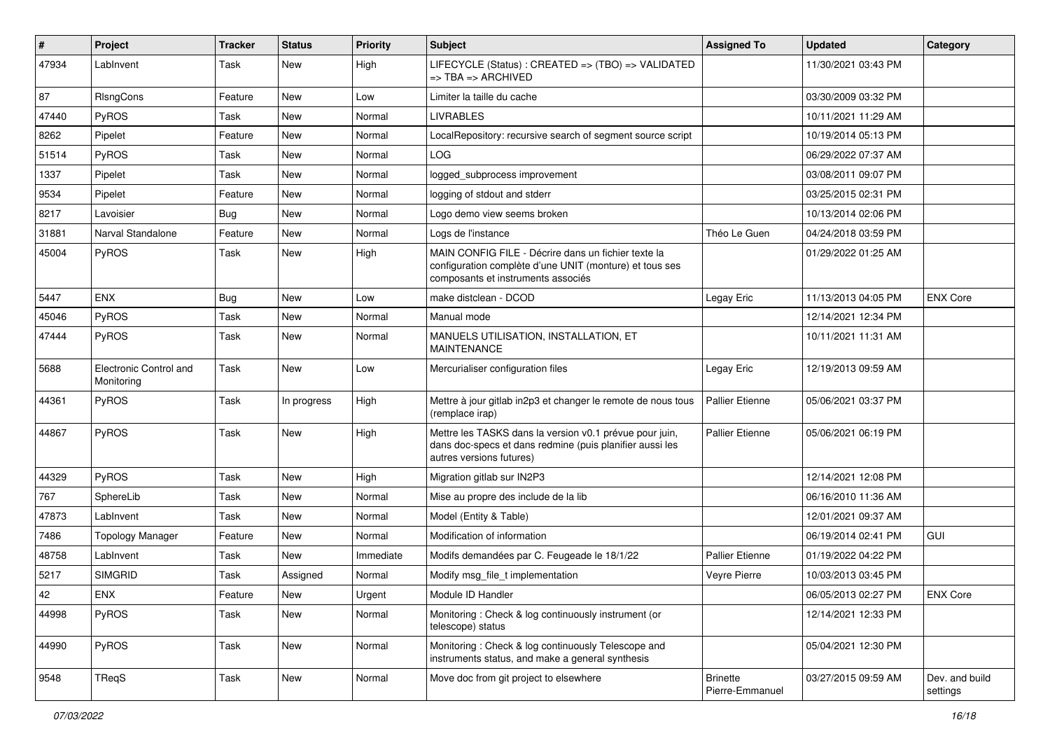| ∦     | Project                              | <b>Tracker</b> | <b>Status</b> | <b>Priority</b> | <b>Subject</b>                                                                                                                                       | <b>Assigned To</b>                 | <b>Updated</b>      | Category                   |
|-------|--------------------------------------|----------------|---------------|-----------------|------------------------------------------------------------------------------------------------------------------------------------------------------|------------------------------------|---------------------|----------------------------|
| 47934 | LabInvent                            | Task           | <b>New</b>    | High            | LIFECYCLE (Status) : CREATED => (TBO) => VALIDATED<br>$\Rightarrow$ TBA $\Rightarrow$ ARCHIVED                                                       |                                    | 11/30/2021 03:43 PM |                            |
| 87    | RIsngCons                            | Feature        | New           | .ow             | Limiter la taille du cache                                                                                                                           |                                    | 03/30/2009 03:32 PM |                            |
| 47440 | PyROS                                | Task           | <b>New</b>    | Normal          | <b>LIVRABLES</b>                                                                                                                                     |                                    | 10/11/2021 11:29 AM |                            |
| 8262  | Pipelet                              | Feature        | <b>New</b>    | Normal          | LocalRepository: recursive search of segment source script                                                                                           |                                    | 10/19/2014 05:13 PM |                            |
| 51514 | PyROS                                | Task           | New           | Normal          | <b>LOG</b>                                                                                                                                           |                                    | 06/29/2022 07:37 AM |                            |
| 1337  | Pipelet                              | Task           | <b>New</b>    | Normal          | logged subprocess improvement                                                                                                                        |                                    | 03/08/2011 09:07 PM |                            |
| 9534  | Pipelet                              | Feature        | New           | Normal          | logging of stdout and stderr                                                                                                                         |                                    | 03/25/2015 02:31 PM |                            |
| 8217  | Lavoisier                            | <b>Bug</b>     | <b>New</b>    | Normal          | Logo demo view seems broken                                                                                                                          |                                    | 10/13/2014 02:06 PM |                            |
| 31881 | Narval Standalone                    | Feature        | <b>New</b>    | Normal          | Logs de l'instance                                                                                                                                   | Théo Le Guen                       | 04/24/2018 03:59 PM |                            |
| 45004 | PyROS                                | Task           | New           | High            | MAIN CONFIG FILE - Décrire dans un fichier texte la<br>configuration complète d'une UNIT (monture) et tous ses<br>composants et instruments associés |                                    | 01/29/2022 01:25 AM |                            |
| 5447  | <b>ENX</b>                           | Bug            | New           | Low             | make distclean - DCOD                                                                                                                                | Legay Eric                         | 11/13/2013 04:05 PM | <b>ENX Core</b>            |
| 45046 | PyROS                                | Task           | <b>New</b>    | Normal          | Manual mode                                                                                                                                          |                                    | 12/14/2021 12:34 PM |                            |
| 47444 | PyROS                                | Task           | <b>New</b>    | Normal          | MANUELS UTILISATION, INSTALLATION, ET<br><b>MAINTENANCE</b>                                                                                          |                                    | 10/11/2021 11:31 AM |                            |
| 5688  | Electronic Control and<br>Monitoring | Task           | <b>New</b>    | Low             | Mercurialiser configuration files                                                                                                                    | Legay Eric                         | 12/19/2013 09:59 AM |                            |
| 44361 | PyROS                                | Task           | In progress   | High            | Mettre à jour gitlab in2p3 et changer le remote de nous tous<br>(remplace irap)                                                                      | <b>Pallier Etienne</b>             | 05/06/2021 03:37 PM |                            |
| 44867 | <b>PyROS</b>                         | Task           | New           | High            | Mettre les TASKS dans la version v0.1 prévue pour juin,<br>dans doc-specs et dans redmine (puis planifier aussi les<br>autres versions futures)      | <b>Pallier Etienne</b>             | 05/06/2021 06:19 PM |                            |
| 44329 | <b>PyROS</b>                         | Task           | New           | High            | Migration gitlab sur IN2P3                                                                                                                           |                                    | 12/14/2021 12:08 PM |                            |
| 767   | SphereLib                            | Task           | <b>New</b>    | Normal          | Mise au propre des include de la lib                                                                                                                 |                                    | 06/16/2010 11:36 AM |                            |
| 47873 | LabInvent                            | Task           | New           | Normal          | Model (Entity & Table)                                                                                                                               |                                    | 12/01/2021 09:37 AM |                            |
| 7486  | <b>Topology Manager</b>              | Feature        | <b>New</b>    | Normal          | Modification of information                                                                                                                          |                                    | 06/19/2014 02:41 PM | <b>GUI</b>                 |
| 48758 | LabInvent                            | Task           | <b>New</b>    | Immediate       | Modifs demandées par C. Feugeade le 18/1/22                                                                                                          | <b>Pallier Etienne</b>             | 01/19/2022 04:22 PM |                            |
| 5217  | <b>SIMGRID</b>                       | Task           | Assigned      | Normal          | Modify msg_file_t implementation                                                                                                                     | Veyre Pierre                       | 10/03/2013 03:45 PM |                            |
| 42    | ENX                                  | Feature        | New           | Urgent          | Module ID Handler                                                                                                                                    |                                    | 06/05/2013 02:27 PM | ENX Core                   |
| 44998 | PyROS                                | Task           | New           | Normal          | Monitoring: Check & log continuously instrument (or<br>telescope) status                                                                             |                                    | 12/14/2021 12:33 PM |                            |
| 44990 | PyROS                                | Task           | New           | Normal          | Monitoring: Check & log continuously Telescope and<br>instruments status, and make a general synthesis                                               |                                    | 05/04/2021 12:30 PM |                            |
| 9548  | TReqS                                | Task           | New           | Normal          | Move doc from git project to elsewhere                                                                                                               | <b>Brinette</b><br>Pierre-Emmanuel | 03/27/2015 09:59 AM | Dev. and build<br>settings |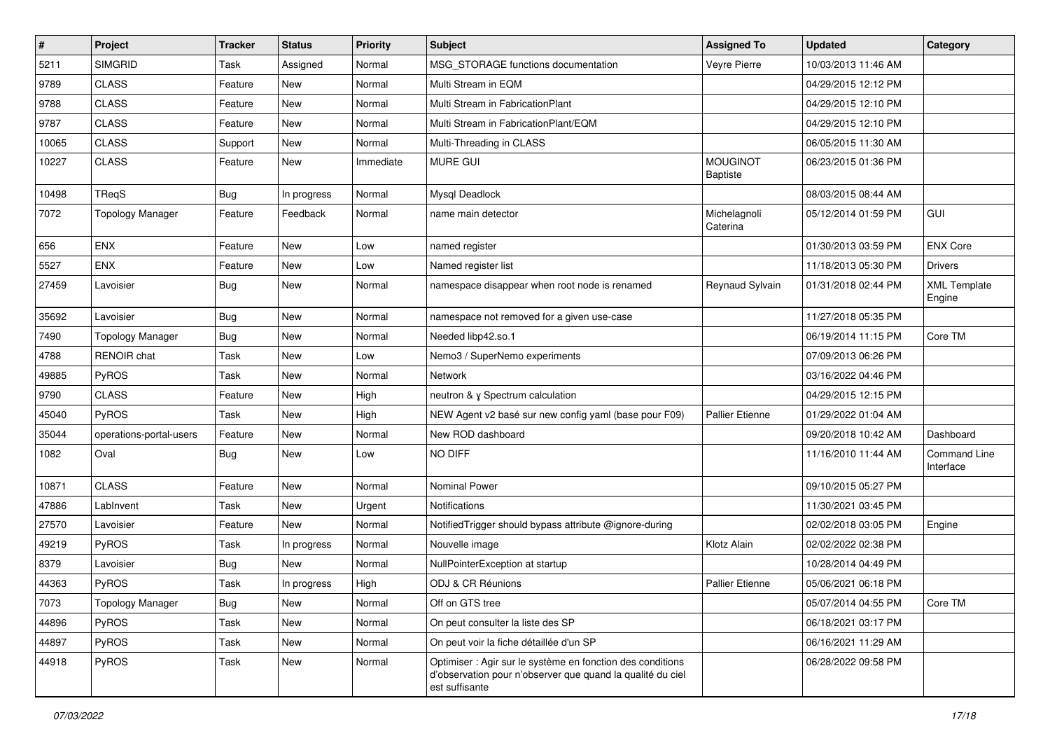| $\vert$ # | Project                 | <b>Tracker</b> | <b>Status</b> | <b>Priority</b> | <b>Subject</b>                                                                                                                             | <b>Assigned To</b>                 | <b>Updated</b>      | Category                      |
|-----------|-------------------------|----------------|---------------|-----------------|--------------------------------------------------------------------------------------------------------------------------------------------|------------------------------------|---------------------|-------------------------------|
| 5211      | <b>SIMGRID</b>          | Task           | Assigned      | Normal          | MSG_STORAGE functions documentation                                                                                                        | Veyre Pierre                       | 10/03/2013 11:46 AM |                               |
| 9789      | <b>CLASS</b>            | Feature        | <b>New</b>    | Normal          | Multi Stream in EQM                                                                                                                        |                                    | 04/29/2015 12:12 PM |                               |
| 9788      | <b>CLASS</b>            | Feature        | <b>New</b>    | Normal          | Multi Stream in FabricationPlant                                                                                                           |                                    | 04/29/2015 12:10 PM |                               |
| 9787      | <b>CLASS</b>            | Feature        | <b>New</b>    | Normal          | Multi Stream in FabricationPlant/EQM                                                                                                       |                                    | 04/29/2015 12:10 PM |                               |
| 10065     | <b>CLASS</b>            | Support        | <b>New</b>    | Normal          | Multi-Threading in CLASS                                                                                                                   |                                    | 06/05/2015 11:30 AM |                               |
| 10227     | <b>CLASS</b>            | Feature        | New           | Immediate       | <b>MURE GUI</b>                                                                                                                            | <b>MOUGINOT</b><br><b>Baptiste</b> | 06/23/2015 01:36 PM |                               |
| 10498     | TReqS                   | <b>Bug</b>     | In progress   | Normal          | Mysql Deadlock                                                                                                                             |                                    | 08/03/2015 08:44 AM |                               |
| 7072      | <b>Topology Manager</b> | Feature        | Feedback      | Normal          | name main detector                                                                                                                         | Michelagnoli<br>Caterina           | 05/12/2014 01:59 PM | GUI                           |
| 656       | <b>ENX</b>              | Feature        | <b>New</b>    | Low             | named register                                                                                                                             |                                    | 01/30/2013 03:59 PM | <b>ENX Core</b>               |
| 5527      | ENX                     | Feature        | New           | Low             | Named register list                                                                                                                        |                                    | 11/18/2013 05:30 PM | <b>Drivers</b>                |
| 27459     | Lavoisier               | <b>Bug</b>     | <b>New</b>    | Normal          | namespace disappear when root node is renamed                                                                                              | Reynaud Sylvain                    | 01/31/2018 02:44 PM | <b>XML Template</b><br>Engine |
| 35692     | Lavoisier               | Bug            | <b>New</b>    | Normal          | namespace not removed for a given use-case                                                                                                 |                                    | 11/27/2018 05:35 PM |                               |
| 7490      | <b>Topology Manager</b> | Bug            | <b>New</b>    | Normal          | Needed libp42.so.1                                                                                                                         |                                    | 06/19/2014 11:15 PM | Core TM                       |
| 4788      | RENOIR chat             | Task           | <b>New</b>    | Low             | Nemo3 / SuperNemo experiments                                                                                                              |                                    | 07/09/2013 06:26 PM |                               |
| 49885     | PyROS                   | Task           | New           | Normal          | Network                                                                                                                                    |                                    | 03/16/2022 04:46 PM |                               |
| 9790      | <b>CLASS</b>            | Feature        | New           | High            | neutron & y Spectrum calculation                                                                                                           |                                    | 04/29/2015 12:15 PM |                               |
| 45040     | PyROS                   | Task           | New           | High            | NEW Agent v2 basé sur new config yaml (base pour F09)                                                                                      | <b>Pallier Etienne</b>             | 01/29/2022 01:04 AM |                               |
| 35044     | operations-portal-users | Feature        | <b>New</b>    | Normal          | New ROD dashboard                                                                                                                          |                                    | 09/20/2018 10:42 AM | Dashboard                     |
| 1082      | Oval                    | <b>Bug</b>     | New           | Low             | NO DIFF                                                                                                                                    |                                    | 11/16/2010 11:44 AM | Command Line<br>Interface     |
| 10871     | <b>CLASS</b>            | Feature        | <b>New</b>    | Normal          | Nominal Power                                                                                                                              |                                    | 09/10/2015 05:27 PM |                               |
| 47886     | LabInvent               | Task           | <b>New</b>    | Urgent          | Notifications                                                                                                                              |                                    | 11/30/2021 03:45 PM |                               |
| 27570     | Lavoisier               | Feature        | <b>New</b>    | Normal          | NotifiedTrigger should bypass attribute @ignore-during                                                                                     |                                    | 02/02/2018 03:05 PM | Engine                        |
| 49219     | PyROS                   | Task           | In progress   | Normal          | Nouvelle image                                                                                                                             | Klotz Alain                        | 02/02/2022 02:38 PM |                               |
| 8379      | Lavoisier               | Bug            | New           | Normal          | NullPointerException at startup                                                                                                            |                                    | 10/28/2014 04:49 PM |                               |
| 44363     | PyROS                   | Task           | In progress   | High            | ODJ & CR Réunions                                                                                                                          | <b>Pallier Etienne</b>             | 05/06/2021 06:18 PM |                               |
| 7073      | <b>Topology Manager</b> | Bug            | New           | Normal          | Off on GTS tree                                                                                                                            |                                    | 05/07/2014 04:55 PM | Core TM                       |
| 44896     | PyROS                   | Task           | <b>New</b>    | Normal          | On peut consulter la liste des SP                                                                                                          |                                    | 06/18/2021 03:17 PM |                               |
| 44897     | PyROS                   | Task           | New           | Normal          | On peut voir la fiche détaillée d'un SP                                                                                                    |                                    | 06/16/2021 11:29 AM |                               |
| 44918     | PyROS                   | Task           | New           | Normal          | Optimiser : Agir sur le système en fonction des conditions<br>d'observation pour n'observer que quand la qualité du ciel<br>est suffisante |                                    | 06/28/2022 09:58 PM |                               |